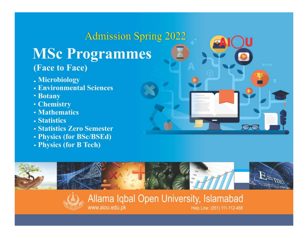# **Admission Spring 2022 MSc Programmes** (Face to Face)

www.aiou.edu.pk

- . Microbiology
- Environmental Sciences
- **Botany**
- Chemistry
- **Mathematics**
- Statistics
- **Statistics Zero Semester**
- Physics (for BSc/BSEd)
- Physics (for B Tech)



Help Line: (051) 111-112-468

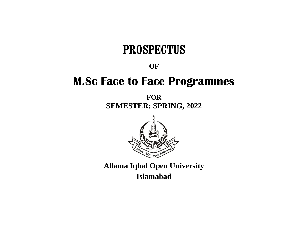# **PROSPECTUS**

**OF**

# **M.Sc Face to Face Programmes**

**FOR SEMESTER: SPRING, 2022**



**Allama Iqbal Open University Islamabad**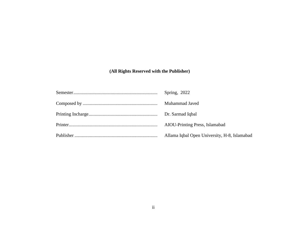# **(All Rights Reserved with the Publisher)**

| Spring, 2022                                 |
|----------------------------------------------|
| Muhammad Javed                               |
|                                              |
| AIOU-Printing Press, Islamabad               |
| Allama Iqbal Open University, H-8, Islamabad |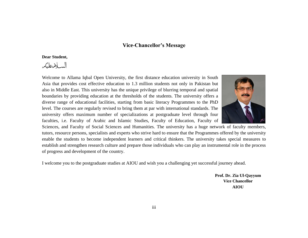## **Vice-Chancellor's Message**

#### **Dear Student,**

السلامعلكم

Welcome to Allama Iqbal Open University, the first distance education university in South Asia that provides cost effective education to 1.3 million students not only in Pakistan but also in Middle East. This university has the unique privilege of blurring temporal and spatial boundaries by providing education at the thresholds of the students. The university offers a diverse range of educational facilities, starting from basic literacy Programmes to the PhD level. The courses are regularly revised to bring them at par with international standards. The university offers maximum number of specializations at postgraduate level through four faculties, i.e. Faculty of Arabic and Islamic Studies, Faculty of Education, Faculty of



Sciences, and Faculty of Social Sciences and Humanities. The university has a huge network of faculty members, tutors, resource persons, specialists and experts who strive hard to ensure that the Programmes offered by the university enable the students to become independent learners and critical thinkers. The university takes special measures to establish and strengthen research culture and prepare those individuals who can play an instrumental role in the process of progress and development of the country.

I welcome you to the postgraduate studies at AIOU and wish you a challenging yet successful journey ahead.

**Prof. Dr. Zia Ul-Qayyum Vice Chancellor AIOU**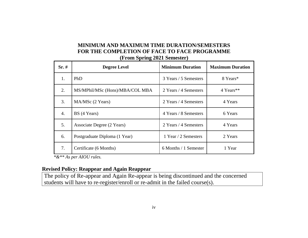# **MINIMUM AND MAXIMUM TIME DURATION/SEMESTERS FOR THE COMPLETION OF FACE TO FACE PROGRAMME (From Spring 2021 Semester)**

| $Sr. \#$ | <b>Degree Level</b>             | <b>Minimum Duration</b> | <b>Maximum Duration</b> |
|----------|---------------------------------|-------------------------|-------------------------|
| 1.       | PhD                             | 3 Years / 5 Semesters   | 8 Years*                |
| 2.       | MS/MPhil/MSc (Hons)/MBA/COL MBA | 2 Years / 4 Semesters   | 4 Years**               |
| 3.       | MA/MSc (2 Years)                | 2 Years / 4 Semesters   | 4 Years                 |
| 4.       | BS (4 Years)                    | 4 Years / 8 Semesters   | 6 Years                 |
| 5.       | Associate Degree (2 Years)      | 2 Years / 4 Semesters   | 4 Years                 |
| 6.       | Postgraduate Diploma (1 Year)   | 1 Year / 2 Semesters    | 2 Years                 |
| 7.       | Certificate (6 Months)          | 6 Months / 1 Semester   | 1 Year                  |

 *\*&\*\* As per AIOU rules.*

## **Revised Policy: Reappear and Again Reappear**

The policy of Re-appear and Again Re-appear is being discontinued and the concerned students will have to re-register/enroll or re-admit in the failed course(s).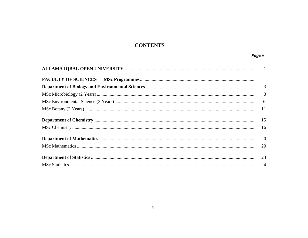# **CONTENTS**

| $6\overline{6}$ |
|-----------------|
|                 |
| 15              |
| - 16            |
| 20              |
| 20              |
|                 |
|                 |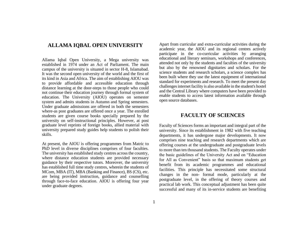## **ALLAMA IQBAL OPEN UNIVERSITY**

Allama Iqbal Open University, a Mega university was established in 1974 under an Act of Parliament. The main campus of the university is situated in sector H-8, Islamabad. It was the second open university of the world and the first of its kind in Asia and Africa. The aim of establishing AIOU was to provide affordable and accessible education through distance learning at the door-steps to those people who could not continue their education journey through formal system of education. The University (AIOU) operates on semester system and admits students in Autumn and Spring semesters. Under graduate admissions are offered in both the semesters where-as post graduates are offered once a year. The enrolled students are given course books specially prepared by the university on self-instructional principles. However, at post graduate level reprints of foreign books, allied material with university prepared study guides help students to polish their skills.

At present, the AIOU is offering programmes from Matric to PhD level in diverse disciplines comprises of four faculties. The university has established study centres across the country, where distance education students are provided necessary guidance by their respective tutors. Moreover, the university has established full time study centres, wherein the students of MCom, MBA (IT), MBA (Banking and Finance), BS (CS), etc. are being provided instruction, guidance and counselling through face-to-face education. AIOU is offering four year under graduate degrees.

Apart from curricular and extra-curricular activities during the academic year, the AIOU and its regional centres actively participate in the co-curricular activities by arranging educational and literary seminars, workshops and conferences, attended not only by the students and faculties of the university but also by the renowned dignitaries and scholars. For the science students and research scholars, a science complex has been built where they use the latest equipment of international standard for experiments and research. To meet the present day challenges internet facility is also available in the student's hostel and the Central Library where computers have been provided to enable students to access latest information available through open source databases.

## **FACULTY OF SCIENCES**

Faculty of Sciences forms an important and integral part of the university. Since its establishment in 1982 with five teaching departments, it has undergone major developments. It now comprises nine teaching and research departments which are offering courses at the undergraduate and postgraduate levels to more than ten thousand students. The Faculty operates under the basic guidelines of the University Act and on "Education for All as Convenient" basis so that maximum students get benefit from its academic programmes and educational facilities. This principle has necessitated some structural changes in the non- formal mode, particularly at the postgraduate level, in the offering of theory courses and practical lab work. This conceptual adjustment has been quite successful and many of its in-service students are benefiting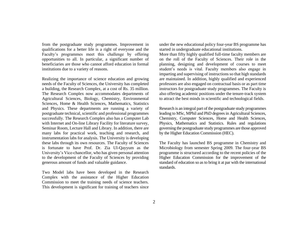from the postgraduate study programmes. Improvement in qualifications for a better life is a right of everyone and the Faculty's programmes meet this challenge by offering opportunities to all. In particular, a significant number of beneficiaries are those who cannot afford education in formal institutions due to a variety of reasons.

Realizing the importance of science education and growing needs of the Faculty of Sciences, the University has completed a building, the Research Complex, at a cost of Rs. 35 million. The Research Complex now accommodates departments of Agricultural Sciences, Biology, Chemistry, Environmental Sciences, Home & Health Sciences, Mathematics, Statistics and Physics. These departments are running a variety of postgraduate technical, scientific and professional programmes successfully. The Research Complex also has a Computer Lab with Internet and On-line Library Facility for literature survey, Seminar Room, Lecture Hall and Library. In addition, there are many labs for practical work, teaching and research, and instrumentation labs for analysis. The University is developing these labs through its own resources. The Faculty of Sciences is fortunate to have Prof. Dr. Zia Ul-Qayyum as the University's Vice-chancellor, who has given personal attention to the development of the Faculty of Sciences by providing generous amount of funds and valuable guidance.

Two Model labs have been developed in the Research Complex with the assistance of the Higher Education Commission to meet the training needs of science teachers. This development is significant for training of teachers since under the new educational policy four-year BS programme has started in undergraduate educational institutions.

More than fifty highly qualified full-time faculty members are on the roll of the Faculty of Sciences. Their role in the planning, designing and development of courses to meet student's needs is vital. Faculty members also engage in imparting and supervising of instructions so that high standards are maintained. In addition, highly qualified and experienced professors are also engaged on contractual basis or as part time instructors for postgraduate study programmes. The Faculty is also offering academic positions under the tenure-track system to attract the best minds in scientific and technological fields.

Research is an integral part of the postgraduate study programmes leading to MSc, MPhil and PhD degrees in Agricultural Sciences, Chemistry, Computer Sciences, Home and Health Sciences, Physics, Mathematics and Statistics. Rules and regulations governing the postgraduate study programmes are those approved by the Higher Education Commission (HEC).

The Faculty has launched BS programme in Chemistry and Microbiology from semester Spring 2009. The four-year BS programme is structured according to the recent policies of the Higher Education Commission for the improvement of the standard of education so as to bring it at par with the international standards.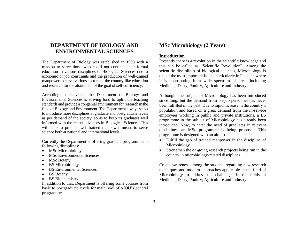## **DEPARTMENT OF BIOLOGY AND ENVIRONMENTAL SCIENCES**

The Department of Biology was established in 1998 with a mission to serve those who could not continue their formal education in various disciplines of Biological Sciences due to economic or job constraints and the production of well-trained manpower to serve various sectors of the country like education and research for the attainment of the goal of self-sufficiency.

According to its vision the Department of Biology and Environmental Sciences is striving hard to uplift the teaching standards and provide a congenial environment for research in the field of Biology and Environment. The Department always seeks to introduce more disciplines at graduate and postgraduate levels as per demand of the society, so as to keep its graduates well informed with the recent advances in Biological Sciences. This will help to produce well-trained manpower meant to serve science both at national and international levels.

Currently the Department is offering graduate programmes in following disciplines:

- MSc Microbiology
- **MSc Environmental Sciences**
- MSc Botany
- **BS** Microbiology
- BS Environmental Sciences
- BS Botany
- BS Biochemistry

In addition to that, Department is offering some courses from basic to postgraduate levels for main pool of AIOU's general programmes.

## **MSc Microbiology (2 Years)**

#### **Introduction**

Presently there is a revolution in the scientific knowledge and this can be called as "Scientific Revolution". Among the scientific disciplines of biological sciences, Microbiology is one of the most important fields, particularly in Pakistan where it is contributing in a wide spectrum of areas including Medicine, Dairy, Poultry, Agriculture and Industry.

Although, the subject of Microbiology has been introduced since long, but the demand from on-job personnel has never been fulfilled in the past. Due to rapid increase in the country's population and based on a great demand from the in-service employees working in public and private institutions, a BS programme in the subject of Microbiology has already been introduced. Now, to cater the need of graduates in relevant disciplines, an MSc programme is being proposed. This programme is designed with an aim to

- Fulfill the gap of trained manpower in the discipline of Microbiology.
- Strengthen the on-going research projects being run in the country in microbiology-related disciplines.

Create awareness among the students regarding new research techniques and modern approaches applicable in the field of Microbiology to address the challenges in the fields of Medicine, Dairy, Poultry, Agriculture and Industry.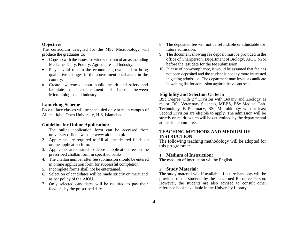#### **Objectives**

The curriculum designed for the MSc Microbiology will produce the graduates to:

- Cope up with the issues for wide spectrum of areas including Medicine, Dairy, Poultry, Agriculture and Industry.
- Play a vital role in the economic growth and to bring qualitative changes in the above mentioned areas in the country.
- Create awareness about public health and safety and facilitate the establishment of liaison between Microbiologist and industry.

#### **Launching Scheme**

Face to face classes will be scheduled only at main campus of Allama Iqbal Open University, H-8, Islamabad.

#### **Guideline for Online Application:**

- 1. The online application form can be accessed from university official website [www.aiou.edu.pk](http://www.aiou.edu.pk/)
- 2. Applicants are required to fill all the desired fields on online application form.
- 3. Applicants are desired to deposit application fee on the prescribed challan form in specified banks.
- 4. The challan number after fee submission should be entered in online application form for successful completion.
- 5. Incomplete forms shall not be entertained**.**
- 6. Selection of candidates will be made strictly on merit and as per policy of the AIOU.
- 7. Only selected candidates will be required to pay their fee/dues by the prescribed dates.
- 8. The deposited fee will not be refundable or adjustable for future admission.
- 9. The document showing fee deposit must be provided in the office of Chairperson, Department of Biology, AIOU on or before the last date for the fee submission.
- 10. In case of non-compliance, it would be assumed that fee has not been deposited and the student is not any more interested in getting admission. The department may invite a candidate in waiting list for admission against the vacant seat.

#### **Eligibility and Selection Criteria**

BSc Degree with 2<sup>nd</sup> Division with Botany and Zoology as major; BSc Veterinary Sciences, MBBS, BSc Medical Lab. Technology, B Pharmacy, BSc Microbiology with at least Second Division are eligible to apply. The admission will be strictly on merit, which will be determined by the departmental admission committee.

#### **TEACHING METHODS AND MEDIUM OF INSTRUCTION:**

The following teaching methodology will be adopted for this programme:

#### **1. Medium of Instruction:**

The medium of instruction will be English.

#### **2. Study Material:**

The study material will if available. Lecture handouts will be provided to the students by the concerned Resource Person. However, the students are also advised to consult other reference books available in the University Library.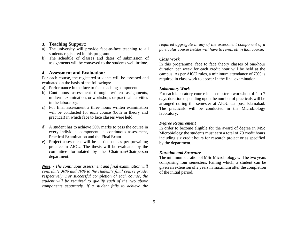### **3. Teaching Support:**

- a) The university will provide face-to-face teaching to all students registered in this programme.
- b) The schedule of classes and dates of submission of assignments will be conveyed to the students well intime.

#### **4. Assessment and Evaluation:**

For each course, the registered students will be assessed and evaluated on the basis of the followings:

- a) Performance in the face to face teaching component.
- b) Continuous assessment through written assignments, midterm examination, or workshops or practical activities in the laboratory.
- c) For final assessment a three hours written examination will be conducted for each course (both in theory and practical) in which face to face classes were held.
- d) A student has to achieve 50% marks to pass the course in every individual component i.e. continuous assessment, Practical Examination and the Final Exam.
- e) Project assessment will be carried out as per prevailing practice in AIOU. The thesis will be evaluated by the committee formulated by the Chairman/Chairperson department.

*Note: - The continuous assessment and final examination will contribute 30% and 70% to the student's final course grade, respectively. For successful completion of each course, the student will be required to qualify each of the two above components separately. If a student fails to achieve the*  *required aggregate in any of the assessment component of a particular course he/she will have to re-enroll in that course.*

#### *Class Work*

In this programme, face to face theory classes of one-hour duration per week for each credit hour will be held at the campus. As per AIOU rules, a minimum attendance of 70% is required in class work to appear in the final examination.

#### *Laboratory Work*

For each laboratory course in a semester a workshop of 4 to 7 days duration depending upon the number of practicals will be arranged during the semester at AIOU campus, Islamabad. The practicals will be conducted in the Microbiology laboratory.

#### *Degree Requirement*

In order to become eligible for the award of degree in MSc Microbiology the students must earn a total of 70 credit hours including six credit hours for research project or as specified by the department.

#### *Duration and Structure*

The minimum duration of MSc Microbiology will be two years comprising four semesters. Failing which, a student can be given an extension of 2 years in maximum after the completion of the initial period.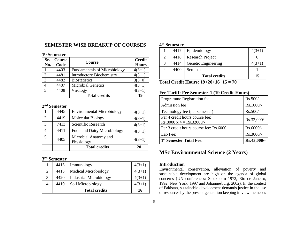## **SEMESTER WISE BREAKUP OF COURSES**

#### **1 st Semester**

| Sr.<br>No.     | Course<br>Code | Course                              | <b>Credit</b><br><b>Hours</b> |
|----------------|----------------|-------------------------------------|-------------------------------|
|                | 4403           | <b>Fundamentals of Microbiology</b> | $4(3+1)$                      |
| $\overline{2}$ | 4481           | <b>Introductory Biochemistry</b>    | $4(3+1)$                      |
| 3              | 4482           | <b>Biostatistics</b>                | $3(3+0)$                      |
|                | 4407           | <b>Microbial Genetics</b>           | $4(3+1)$                      |
| 5              | 4408           | Virology                            | $4(3+1)$                      |
|                |                | <b>Total credits</b>                | 19                            |

#### **2 nd Semester**

|                             |      | <b>Total credits</b>                | 20       |
|-----------------------------|------|-------------------------------------|----------|
| 5                           | 4405 | Microbial Anatomy and<br>Physiology | $4(3+1)$ |
| 4                           | 4411 | Food and Dairy Microbiology         | $4(3+1)$ |
| 3                           | 7413 | Scientific Research                 | $4(3+1)$ |
| $\mathcal{D}_{\mathcal{L}}$ | 4419 | Molecular Biology                   | $4(3+1)$ |
|                             | 4445 | <b>Environmental Microbiology</b>   | $4(3+1)$ |

#### **3 rd Semester**

|   | 4415 | Immunology                     | $4(3+1)$ |
|---|------|--------------------------------|----------|
| 2 | 4413 | <b>Medical Microbiology</b>    | $4(3+1)$ |
| 3 | 4420 | <b>Industrial Microbiology</b> | $4(3+1)$ |
|   | 4410 | Soil Microbiology              | $4(3+1)$ |
|   |      | <b>Total credits</b>           | 16       |

#### **4 th Semester**

|   | 4417 | Epidemiology            | $4(3+1)$ |
|---|------|-------------------------|----------|
| 2 | 4418 | <b>Research Project</b> |          |
| 3 | 4414 | Genetic Engineering     | $4(3+1)$ |
|   | 4400 | Seminar                 |          |
|   |      | <b>Total credits</b>    | 15       |

**Total Credit Hours: 19+20+16+15 = 70**

## **Fee Tariff: Fee Semester-1 (19 Credit Hours)**

| Programme Registration fee                                            | $Rs.500/-$  |
|-----------------------------------------------------------------------|-------------|
| Admission fee                                                         | Rs.1000/-   |
| Technology fee (per semester)                                         | Rs.500/-    |
| Per 4 credit hours course fee:<br>$Rs.8000 \text{ x } 4 = Rs.32000/-$ | Rs.32,000/- |
| Per 3 credit hours course fee: Rs.6000                                | Rs.6000/-   |
| Lab Fee:                                                              | Rs.3000/-   |
| 1 <sup>st</sup> Semester Total Fee:                                   | Rs.43,000/- |

## **MSc Environmental Science (2 Years)**

#### **Introduction**

Environmental conservation, alleviation of poverty and sustainable development are high on the agenda of global concerns (UN conferences: Stockholm 1972, Rio de Janeiro, 1992, New York, 1997 and Johannesburg, 2002). In the context of Pakistan, sustainable development demands justice in the use of resources by the present generation keeping in view the needs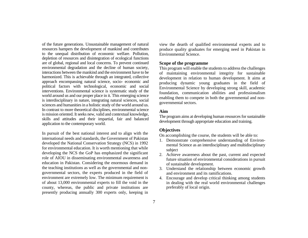of the future generations. Unsustainable management of natural resources hampers the development of mankind and contributes to the unequal distribution of economic welfare. Pollution, depletion of resources and disintegration of ecological functions are of global, regional and local concerns. To prevent continued environmental degradation and the decline of human society, interactions between the mankind and the environment have to be harmonized. This is achievable through an integrated, collective approach encompassing natural science, socio- economic and political factors with technological, economic and social interventions. Environmental science is systematic study of the world around us and our proper place in it. This emerging science is interdisciplinary in nature, integrating natural sciences, social sciences and humanities in a holistic study of the world around us. In contrast to more theoretical disciplines, environmental science is mission oriented. It seeks new, valid and contextual knowledge, skills and attitudes and their impartial, fair and balanced application to the contemporary world.

In pursuit of the best national interest and to align with the international needs and standards, the Government of Pakistan developed the National Conservation Strategy (NCS) in 1992 for environmental education. It is worth mentioning that while developing the NCS the GoP has emphasized the significant role of AIOU in disseminating environmental awareness and education in Pakistan. Considering the enormous demand in the teaching institutions as well as the governmental and nongovernmental sectors, the experts produced in the field of environment are extremely low. The minimum requirement is of about 13,000 environmental experts to fill the void in the county, whereas, the public and private institutions are presently producing annually 300 experts only, keeping in view the dearth of qualified environmental experts and to produce quality graduates for emerging need in Pakistan in Environmental Science.

#### **Scope of the programme**

This program will enable the students to address the challenges of maintaining environmental integrity for sustainable development in relation to human development. It aims at producing dynamic young graduates in the field of Environmental Science by developing strong skill, academic foundation, communication abilities and professionalism enabling them to compete in both the governmental and nongovernmental sectors.

#### **Aim**

The program aims at developing human resources for sustainable development through appropriate education and training.

## **Objectives**

On accomplishing the course, the students will be able to:

- 1. Demonstrate comprehensive understanding of Environmental Science as an interdisciplinary and multidisciplinary subject
- 2. Achieve awareness about the past, current and expected future situation of environmental considerations in pursuit of sustainable development.
- 3. Understand the relationship between economic growth and environment and its ramifications.
- 4. Encourage and develop critical thinking among students in dealing with the real world environmental challenges preferably of local origin.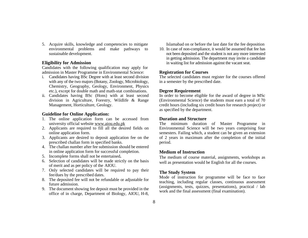5. Acquire skills, knowledge and competencies to mitigate environmental problems and make pathways to sustainable development.

#### **Eligibility for Admission**

Candidates with the following qualification may apply for admission in Master Programme in Environmental Science:

- i. Candidates having BSc Degree with at least second division with any of the two majors (Botany, Zoology, Microbiology, Chemistry, Geography, Geology, Environment, Physics etc.), except for double math and math-stat combinations.
- ii. Candidates having BSc (Hons) with at least second division in Agriculture, Forestry, Wildlife & Range Management, Horticulture, Geology.

#### **Guideline for Online Application:**

- 1. The online application form can be accessed from university official website [www.aiou.edu.pk](http://www.aiou.edu.pk/)
- 2. Applicants are required to fill all the desired fields on online application form.
- 3. Applicants are desired to deposit application fee on the prescribed challan form in specified banks.
- 4. The challan number after fee submission should be entered in online application form for successful completion.
- 5. Incomplete forms shall not be entertained**.**
- 6. Selection of candidates will be made strictly on the basis of merit and as per policy of the AIOU.
- 7. Only selected candidates will be required to pay their fee/dues by the prescribed dates.
- 8. The deposited fee will not be refundable or adjustable for future admission.
- 9. The document showing fee deposit must be provided in the office of in charge, Department of Biology, AIOU, H-8,

Islamabad on or before the last date for the fee deposition

10. In case of non-compliance, it would be assumed that fee has not been deposited and the student is not any more interested in getting admission. The department may invite a candidate in waiting list for admission against the vacant seat.

#### **Registration for Courses**

The selected candidates must register for the courses offered in a semester by the prescribed date.

#### **Degree Requirement**

In order to become eligible for the award of degree in MSc (Environmental Science) the students must earn a total of 70 credit hours (including six credit hours for research project) or as specified by the department.

#### **Duration and Structure**

The minimum duration of Master Programme in Environmental Science will be two years comprising four semesters. Failing which, a student can be given an extension of 2 years in maximum after the completion of the initial period.

#### **Medium of Instruction**

The medium of course material, assignments, workshops as well as presentation would be English for all the courses.

#### **The Study System**

Mode of instruction for programme will be face to face teaching, including regular classes, continuous assessment (assignments, tests, quizzes, presentations), practical / lab work and the final assessment (final examination).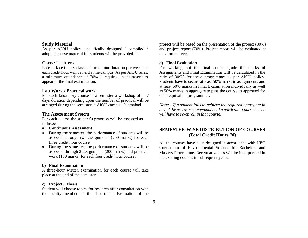#### **Study Material**

As per AIOU policy, specifically designed / compiled / adopted course material for students will be provided.

#### **Class / Lectures**

Face to face theory classes of one-hour duration per week for each credit hour will be held at the campus. As per AIOU rules, a minimum attendance of 70% is required in classwork to appear in the final examination.

#### **Lab Work / Practical work**

For each laboratory course in a semester a workshop of 4 -7 days duration depending upon the number of practical will be arranged during the semester at AIOU campus, Islamabad.

#### **The Assessment System**

For each course the student's progress will be assessed as follows:

#### **a) Continuous Assessment**

- During the semester, the performance of students will be assessed through two assignments (200 marks) for each three credit hour course.
- During the semester, the performance of students will be assessed through 2 assignments (200 marks) and practical work (100 marks) for each four credit hour course.

#### **b) Final Examination**

A three-hour written examination for each course will take place at the end of the semester.

#### **c) Project / Thesis**

Student will choose topics for research after consultation with the faculty members of the department. Evaluation of the

project will be based on the presentation of the project (30%) and project report (70%). Project report will be evaluated at department level.

#### **d) Final Evaluation**

For working out the final course grade the marks of Assignments and Final Examination will be calculated in the ratio of 30:70 for these programmes as per AIOU policy. Students have to secure at least 50% marks in assignments and at least 50% marks in Final Examination individually as well as 50% marks in aggregate to pass the course as approved for other equivalent programmes.

*Note: - If a student fails to achieve the required aggregate in any of the assessment component of a particular course he/she will have to re-enroll in that course.*

## **SEMESTER-WISE DISTRIBUTION OF COURSES (Total Credit Hours 70)**

All the courses have been designed in accordance with HEC Curriculum of Environmental Science for Bachelors and Masters Programme. Recent advances will be incorporated in the existing courses in subsequent years.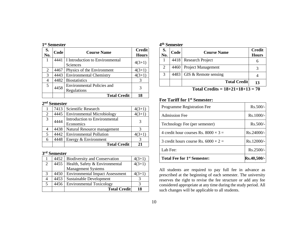| 1 <sup>st</sup> Semester |
|--------------------------|
|                          |

| S.<br>No. | Code | <b>Course Name</b>                | <b>Credit</b><br><b>Hours</b> |
|-----------|------|-----------------------------------|-------------------------------|
|           | 4441 | I Introduction to Environmental   | $4(3+1)$                      |
|           |      | Sciences                          |                               |
| 2         | 4467 | Physics of the Environment        | $4(3+1)$                      |
| 3         | 4443 | <b>Environmental Chemistry</b>    | $4(3+1)$                      |
|           | 4482 | <b>Biostatistics</b>              |                               |
| 5         | 4458 | <b>Environmental Policies and</b> |                               |
|           |      | Regulations                       |                               |
|           |      | <b>Total Credit</b>               | 18                            |

#### **2 nd Semester**

|   | 7413 | Scientific Research                        | $4(3+1)$ |
|---|------|--------------------------------------------|----------|
| 2 | 4445 | <b>Environmental Microbiology</b>          | $4(3+1)$ |
| 3 | 4444 | Introduction to Environmental<br>Economics |          |
|   | 4438 | Natural Resource management                |          |
| 5 | 4442 | <b>Environmental Pollution</b>             | $4(3+1)$ |
| 6 | 4448 | Energy $&$ Environment                     |          |
|   |      | <b>Total Credit</b>                        | 21       |

#### **3 rd Semester**

|   | 4452 | <b>Biodiversity and Conservation</b>   | $4(3+1)$ |
|---|------|----------------------------------------|----------|
| 2 | 4455 | Health, Safety & Environmental         | $4(3+1)$ |
|   |      | <b>Management Systems</b>              |          |
| 3 | 4450 | <b>Environmental Impact Assessment</b> | $4(3+1)$ |
|   | 4453 | Sustainable Development                |          |
| 5 | 4456 | <b>Environmental Toxicology</b>        |          |
|   |      | <b>Total Credit</b>                    | 18       |

| 4 <sup>th</sup> Semester |
|--------------------------|
|                          |

| S.<br>No. | Code | <b>Course Name</b>        | <b>Credit</b><br><b>Hours</b> |
|-----------|------|---------------------------|-------------------------------|
|           | 4418 | <b>Research Project</b>   |                               |
| 2         | 4460 | <b>Project Management</b> |                               |
| 3         | 4483 | GIS & Remote sensing      |                               |
|           |      | <b>Total Credit</b>       | 13                            |

 **Total Credits = 18+21+18+13 = 70**

## **Fee Tariff for 1st Semester:**

| Total Fee for 1 <sup>st</sup> Semester:     | Rs.40,500/- |
|---------------------------------------------|-------------|
| Lab Fee:                                    | Rs.2500/-   |
| 3 credit hours course Rs. 6000 $\times$ 2 = | Rs.12000/-  |
| 4 credit hour courses Rs. 8000 $\times$ 3 = | Rs.24000/-  |
| Technology Fee (per semester)               | $Rs.500/-$  |
| <b>Admission Fee</b>                        | Rs.1000/-   |
| <b>Programme Registration Fee</b>           | $Rs.500/-$  |

All students are required to pay full fee in advance as prescribed at the beginning of each semester. The university reserves the right to revise the fee structure or add any fee considered appropriate at any time during the study period. All such changes will be applicable to all students.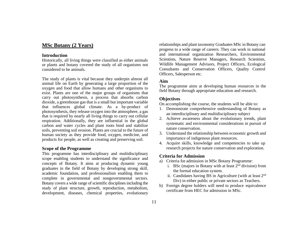## **MSc Botany (2 Years)**

#### **Introduction**

Historically, all living things were classified as either animals or plants and botany covered the study of all organisms not considered to be animals.

The study of plants is vital because they underpin almost all animal life on Earth by generating a large proportion of the oxygen and food that allow humans and other organisms to exist. Plants are one of the major groups of organisms that carry out photosynthesis, a process that absorbs carbon dioxide, a greenhouse gas that is a small but important variable that influences global climate. As a by-product of photosynthesis, they release oxygen into the atmosphere, a gas that is required by nearly all living things to carry out cellular respiration. Additionally, they are influential in the global carbon and water cycles and plant roots bind and stabilize soils, preventing soil erosion. Plants are crucial to the future of human society as they provide food, oxygen, medicine, and products for people, as well as creating and preserving soil.

#### **Scope of the Programme**

This programme has interdisciplinary and multidisciplinary scope enabling students to understand the significance and concepts of Botany. It aims at producing dynamic young graduates in the field of Botany by developing strong skill, academic foundation, and professionalism enabling them to complete in governmental and nongovernmental sectors. Botany covers a wide range of scientific disciplines including the study of plant structure, growth, reproduction, metabolism, development, diseases, chemical properties, evolutionary relationships and plant taxonomy Graduates MSc in Botany can progress to a wide range of careers. They can work in national and international organization Researchers, Environmental Scientists, Nature Reserve Managers, Research Scientists, Wildlife Management Advisors, Project Officers, Ecological Consultants and Conservation Officers, Quality Control Officers, Salesperson etc.

#### **Aim**

The programme aims at developing human resources in the field Botany through appropriate education and research.

#### **Objectives**

On accomplishing the course, the students will be able to:

- 1. Demonstrate comprehensive understanding of Botany as an interdisciplinary and multidisciplinary subject
- 2. Achieve awareness about the evolutionary trends, plant systematic and environmental considerations in pursuit of nature conservation.
- 3. Understand the relationship between economic growth and importance of indigenous plant resources.
- 4. Acquire skills, knowledge and competencies to take up research projects for nature conservation and exploration.

#### **Criteria for Admission**

- a) Criteria for admission in MSc Botany Programme:
	- i. BSc (majors in Botany with at least  $2<sup>nd</sup>$  division) from the formal education system.
	- ii. Candidates having BS in Agriculture (with at least  $2<sup>nd</sup>$ Div) in either public or private sectors as Teachers.
- b) Foreign degree holders will need to produce equivalence certificate from HEC for admission in MSc.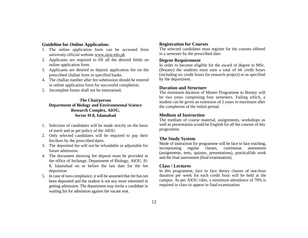#### **Guideline for Online Application:**

- 1. The online application form can be accessed from university official website [www.aiou.edu.pk](http://www.aiou.edu.pk/)
- 2. Applicants are required to fill all the desired fields on online application form.
- 3. Applicants are desired to deposit application fee on the prescribed challan form in specified banks.
- 4. The challan number after fee submission should be entered in online application form for successful completion.
- 5. Incomplete forms shall not be entertained**.**

#### **The Chairperson Department of Biology and Environmental Science Research Complex, AIOU, Sector H-8, Islamabad**

- 1. Selection of candidates will be made strictly on the basis of merit and as per policy of the AIOU.
- 2. Only selected candidates will be required to pay their fee/dues by the prescribed dates.
- 3. The deposited fee will not be refundable or adjustable for future admission.
- 4. The document showing fee deposit must be provided in the office of Incharge, Department of Biology, AIOU, H-8, Islamabad on or before the last date for the fee deposition
- 5. In case of non-compliance, it will be assumed that fee has not been deposited and the student is not any more interested in getting admission. The department may invite a candidate in waiting list for admission against the vacant seat.

#### **Registration for Courses**

The selected candidates must register for the courses offered in a semester by the prescribed date.

#### **Degree Requirement**

In order to become eligible for the award of degree in MSc. (Botany) the students must earn a total of 66 credit hours (including six credit hours for research project) or as specified by the department.

#### **Duration and Structure**

The minimum duration of Master Programme in Botany will be two years comprising four semesters. Failing which, a student can be given an extension of 2 years in maximum after the completion of the initial period.

#### **Medium of Instruction**

The medium of course material, assignments, workshops as well as presentation would be English for all the courses of this programme.

#### **The Study System**

Mode of instruction for programme will be face to face teaching, incorporating regular classes, continuous assessment (assignments, tests, quizzes, presentations), practical/lab work and the final assessment (final examination).

#### **Class / Lectures**

In this programme, face to face theory classes of one-hour duration per week for each credit hour will be held at the campus. As per AIOU rules, a minimum attendance of 70% is required in class to appear in final examination.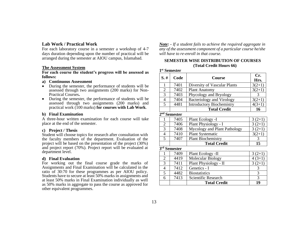#### **Lab Work / Practical Work**

For each laboratory course in a semester a workshop of 4-7 days duration depending upon the number of practical will be arranged during the semester at AIOU campus, Islamabad.

#### **The Assessment System**

**For each course the student's progress will be assessed as follows:**

- **a) Continuous Assessment**
- During the semester, the performance of students will be assessed through two assignments (200 marks) for Non-Practical Courses**.**
- During the semester, the performance of students will be assessed through two assignments (200 marks) and practical work (100 marks) **for courses with Lab Work**.

#### **b) Final Examination**

A three-hour written examination for each course will take place at the end of the semester.

#### **c) Project / Thesis**

Student will choose topics for research after consultation with the faculty members of the department. Evaluation of the project will be based on the presentation of the project (30%) and project report (70%). Project report will be evaluated at department level.

#### **d) Final Evaluation**

For working out the final course grade the marks of Assignments and Final Examination will be calculated in the ratio of 30:70 for these programmes as per AIOU policy. Students have to secure at least 50% marks in assignments and at least 50% marks in Final Examination individually as well as 50% marks in aggregate to pass the course as approved for other equivalent programmes.

*Note: - If a student fails to achieve the required aggregate in any of the assessment component of a particular course he/she will have to re-enroll in that course.*

#### **SEMESTER WISE DISTRIBUTION OF COURSES (Total Credit Hours 66)**

**1 st Semester**

| $S.$ #         | Code                     | <b>Course</b>                    | Cr.<br>Hrs.    |
|----------------|--------------------------|----------------------------------|----------------|
|                |                          |                                  |                |
| 1              | 7401                     | Diversity of Vascular Plants     | $3(2+1)$       |
| $\sqrt{2}$     | 7402                     | <b>Plant Anatomy</b>             | $3(2+1)$       |
| $\overline{3}$ | 7403                     | Phycology and Bryology           | 3              |
| $\overline{4}$ | 7404                     | <b>Bacteriology and Virology</b> | $3(2+1)$       |
| 5              | 4481                     | <b>Introductory Biochemistry</b> | $4(3+1)$       |
|                |                          | <b>Total Credit</b>              | 16             |
|                | $2nd$ Semester           |                                  |                |
| 1              | 7405                     | Plant Ecology -I                 | $3(2+1)$       |
| $\overline{2}$ | 7406                     | Plant Physiology - I             | $3(2+1)$       |
| 3              | 7408                     | Mycology and Plant Pathology     | $3(2+1)$       |
| $\overline{4}$ | 7410                     | <b>Plant Systematic</b>          | $3(2+1)$       |
| 5              | 7407                     | <b>Plant Biochemistry</b>        | 3              |
|                |                          | <b>Total Credit</b>              | 15             |
|                | 3 <sup>rd</sup> Semester |                                  |                |
|                | 7409                     | Plant Ecology -II                | $3(2+1)$       |
| $\overline{2}$ | 4419                     | Molecular Biology                | $4(3+1)$       |
| $\overline{3}$ | 7411                     | Plant Physiology - II            | $3(2+1)$       |
| $\overline{4}$ | 7412                     | Genetics - I                     | 3              |
| 5              | 4482                     | <b>Biostatistics</b>             | $\overline{3}$ |
| 6              | 7413                     | Scientific Research              | 3              |
|                |                          | <b>Total Credit</b>              | 19             |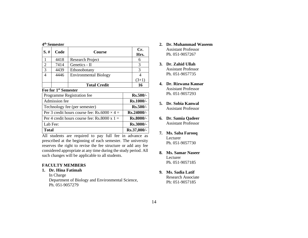#### **4 th Semester**

| S.#                                                   | Code | Course                       |             | Cr.<br>Hrs. |
|-------------------------------------------------------|------|------------------------------|-------------|-------------|
| $\mathbf{1}$                                          | 4418 | <b>Research Project</b>      |             | 6           |
| $\overline{2}$                                        | 7414 | Genetics - II                |             | 3           |
| 3                                                     | 4439 | Ethonobotany                 |             | 3           |
| 4                                                     | 4446 | <b>Environmental Biology</b> |             | 4           |
|                                                       |      |                              |             | $(3+1)$     |
|                                                       |      | <b>Total Credit</b>          |             | 16          |
| Fee for 1st Semester                                  |      |                              |             |             |
| Programme Registration fee                            |      | $Rs.500/-$                   |             |             |
| Admission fee                                         |      |                              | Rs.1000/-   |             |
| Technology fee (per semester)                         |      |                              | $Rs.500/-$  |             |
| Per 3 credit hours course fee: Rs.6000 $\times$ 4 =   |      | $Rs.24000/-$                 |             |             |
| Per 4 credit hours course fee: $\text{Rs.8000 x}$ 1 = |      |                              | Rs.8000/-   |             |
| Lab Fee:                                              |      |                              | $Rs.3000/-$ |             |
| Total                                                 |      |                              | Rs.37,000/- |             |

All students are required to pay full fee in advance as prescribed at the beginning of each semester. The university reserves the right to revise the fee structure or add any fee considered appropriate at any time during the study period. All such changes will be applicable to all students.

#### **FACULTY MEMBERS**

#### **1. Dr. Hina Fatimah**

In Charge Department of Biology and Environmental Science, Ph. 051-9057279

- **2. Dr. Muhammad Waseem** Assistant Professor Ph. 051-9057267
- **3. Dr. Zahid Ullah**  Assistant Professor Ph. 051-9057735
- **4. Dr. Rizwana Kausar**  Assistant Professor Ph. 051-9057293
- **5. Dr. Sobia Kanwal** Assistant Professor
- **6. Dr. Samia Qadeer** Assistant Professor
- **7. Ms. Saba Farooq** Lecturer Ph. 051-9057730
- **8. Ms. Samar Naseer** Lecturer Ph. 051-9057185
- **9. Ms. Sadia Latif**  Research Associate Ph: 051-9057185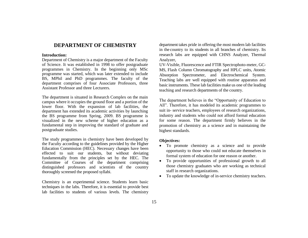## **DEPARTMENT OF CHEMISTRY**

#### **Introduction:**

Department of Chemistry is a major department of the Faculty of Science. It was established in 1998 to offer postgraduate programmes in Chemistry. In the beginning only MSc programme was started, which was later extended to include BS, MPhil and PhD programmes. The faculty of the department comprises of four Associate Professors, three Assistant Professor and three Lecturers.

The department is situated in Research Complex on the main campus where it occupies the ground floor and a portion of the lower floor. With the expansion of lab facilities, the department has extended its academic activities by launching the BS programme from Spring, 2009. BS programme is visualized in the new scheme of higher education as a fundamental step in improving the standard of graduate and postgraduate studies.

The study programmes in chemistry have been developed by the Faculty according to the guidelines provided by the Higher Education Commission (HEC). Necessary changes have been effected to suit our students, but without deviating fundamentally from the principles set by the HEC. The Committee of Courses of the department comprising distinguished professors and scientists of the country thoroughly screened the proposed syllabi.

Chemistry is an experimental science. Students learn basic techniques in the labs. Therefore, it is essential to provide best lab facilities to students of various levels. The chemistry department takes pride in offering the most modern lab facilities in the country to its students in all branches of chemistry. Its research labs are equipped with CHNS Analyzer, Thermal Analyzer,

UV-Visible, Fluorescence and FTIR Spectrophoto-meter, GC-MS, Flash Column Chromatography and HPLC units, Atomic Absorption Spectrometer, and Electrochemical System. Teaching labs are well equipped with routine apparatus and basic instruments. These lab facilities make us one of the leading teaching and research departments of the country.

The department believes in the "Opportunity of Education to All". Therefore, it has modeled its academic programmes to suit in- service teachers, employees of research organizations, industry and students who could not afford formal education for some reason. The department firmly believes in the promotion of chemistry as a science and in maintaining the highest standards.

#### **Objectives:**

- To promote chemistry as a science and to provide opportunity to those who could not educate themselves in formal system of education for one reason or another.
- To provide opportunities of professional growth to all those chemistry graduates who are working as technical staff in research organizations.
- To update the knowledge of in-service chemistry teachers.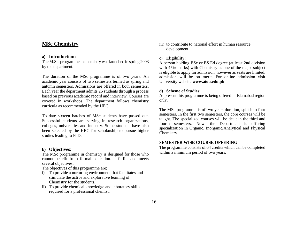## **MSc Chemistry**

#### **a) Introduction:**

The M.Sc. programme in chemistry was launched in spring 2003 by the department.

The duration of the MSc programme is of two years. An academic year consists of two semesters termed as spring and autumn semesters. Admissions are offered in both semesters. Each year the department admits 25 students through a process based on previous academic record and interview. Courses are covered in workshops. The department follows chemistry curricula as recommended by the HEC.

To date sixteen batches of MSc students have passed out. Successful students are serving in research organizations, colleges, universities and industry. Some students have also been selected by the HEC for scholarship to pursue higher studies leading to PhD.

#### **b) Objectives:**

The MSc programme in chemistry is designed for those who cannot benefit from formal education. It fulfils and meets several objectives:

The objectives of this programme are;

- i) To provide a nurturing environment that facilitates and stimulate the active and explorative learning of Chemistry for the students.
- ii) To provide chemical knowledge and laboratory skills required for a professional chemist.

iii) to contribute to national effort in human resource development.

#### **c) Eligibility:**

A person holding BSc or BS Ed degree (at least 2nd division with 45% marks) with Chemistry as one of the major subject is eligible to apply for admission, however as seats are limited, admission will be on merit. For online admission visit University website **www.aiou.edu.pk**

#### **d) Scheme of Studies:**

At present this programme is being offered in Islamabad region only.

The MSc programme is of two years duration, split into four semesters. In the first two semesters, the core courses will be taught. The specialized courses will be dealt in the third and fourth semesters. Now, the Department is offering specialization in Organic, Inorganic/Analytical and Physical Chemistry.

#### **SEMESTER WISE COURSE OFFERING**

The programme consists of 64 credits which can be completed within a minimum period of two years.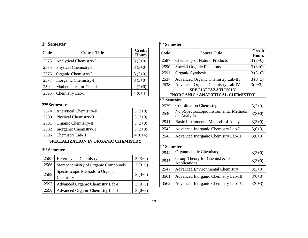|  | 1 <sup>st</sup> Semester |
|--|--------------------------|
|--|--------------------------|

| Code | <b>Course Title</b>             | <b>Credit</b><br><b>Hours</b> |
|------|---------------------------------|-------------------------------|
| 2573 | <b>Analytical Chemistry-I</b>   | $3(3+0)$                      |
| 2575 | Physical Chemistry-I            | $3(3+0)$                      |
| 2576 | Organic Chemistry-I             | $3(3+0)$                      |
| 2577 | Inorganic Chemistry-I           | $3(3+0)$                      |
| 2594 | <b>Mathematics for Chemists</b> | $2(2+0)$                      |
| 2595 | Chemistry Lab-I                 |                               |

#### **nd Semester**

| 2574                     | Analytical Chemistry-II                       | $3(3+0)$ |  |
|--------------------------|-----------------------------------------------|----------|--|
| 2580                     | Physical Chemistry-II                         | $3(3+0)$ |  |
| 2581                     | Organic Chemistry-II                          | $3(3+0)$ |  |
| 2582                     | Inorganic Chemistry-II                        | $3(3+0)$ |  |
| 2596                     | Chemistry Lab-II                              | $4(0+4)$ |  |
|                          | <b>SPECIALIZATION IN ORGANIC CHEMISTRY</b>    |          |  |
| 3 <sup>rd</sup> Semester |                                               |          |  |
| 2585                     | Heterocyclic Chemistry                        | $3(3+0)$ |  |
| 2586                     | Stereochemistry of Organic Compounds          | $3(3+0)$ |  |
| 2589                     | Spectroscopic Methods in Organic<br>Chemistry | $3(3+0)$ |  |
| 2597                     | <b>Advanced Organic Chemistry Lab-I</b>       | $3(0+3)$ |  |
| 2598                     | Advanced Organic Chemistry Lab-II             | $3(0+3)$ |  |

| 4 <sup>th</sup> Semester |                                                       |                               |  |
|--------------------------|-------------------------------------------------------|-------------------------------|--|
| Code                     | <b>Course Title</b>                                   | <b>Credit</b><br><b>Hours</b> |  |
| 2587                     | <b>Chemistry of Natural Products</b>                  | $3(3+0)$                      |  |
| 2590                     | <b>Special Organic Reactions</b>                      | $3(3+0)$                      |  |
| 2591                     | Organic Synthesis                                     | $3(3+0)$                      |  |
| 2537                     | <b>Advanced Organic Chemistry Lab-III</b>             | $3(0+3)$                      |  |
| 2538                     | <b>Advanced Organic Chemistry Lab-IV</b>              | $3(0+3)$                      |  |
|                          | <b>SPECIALIAZATION IN</b>                             |                               |  |
|                          | <b>INORGANIC / ANALYTICAL CHEMISTRY</b>               |                               |  |
| $3rd$ Semester           |                                                       |                               |  |
| 2539                     | <b>Coordination Chemistry</b>                         | $3(3+0)$                      |  |
| 2540                     | Non-Spectroscopic Instrumental Methods<br>of Analysis | $3(3+0)$                      |  |
| 2541                     | Basic Instrumental Methods of Analysis                | $3(3+0)$                      |  |
| 2542                     | Advanced Inorganic Chemistry Lab-I                    | $3(0+3)$                      |  |
| 2543                     | Advanced Inorganic Chemistry Lab-II                   | $3(0+3)$                      |  |
| 4 <sup>th</sup> Semester |                                                       |                               |  |
| 2544                     | Organmetallic Chemistry                               | $3(3+0)$                      |  |
| 2545                     | Group Theory for Chemist & its<br>Applications        | $3(3+0)$                      |  |
| 2547                     | <b>Advanced Environmental Chemistry</b>               | $3(3+0)$                      |  |
| 3561                     | Advanced Inorganic Chemistry Lab-III                  | $3(0+3)$                      |  |
| 3562                     | Advanced Inorganic Chemistry Lab-IV                   | $3(0+3)$                      |  |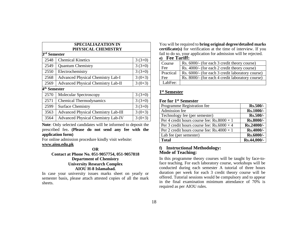| <b>SPECIALIAZATION IN</b> |                                            |          |  |
|---------------------------|--------------------------------------------|----------|--|
|                           | PHYSICAL CHEMISTRY                         |          |  |
| 3 <sup>rd</sup> Semester  |                                            |          |  |
| 2548                      | <b>Chemical Kinetics</b>                   | $3(3+0)$ |  |
| 2549                      | <b>Quantum Chemistry</b>                   | $3(3+0)$ |  |
| 2550                      | Electrochemistry                           | $3(3+0)$ |  |
| 2568                      | <b>Advanced Physical Chemistry Lab-I</b>   | $3(0+3)$ |  |
| 2569                      | <b>Advanced Physical Chemistry Lab-II</b>  | $3(0+3)$ |  |
|                           | 4 <sup>th</sup> Semester                   |          |  |
| 2570                      | <b>Molecular Spectroscopy</b>              | $3(3+0)$ |  |
| 2571                      | <b>Chemical Thermodynamics</b>             | $3(3+0)$ |  |
| 2599                      | <b>Surface Chemistry</b>                   | $3(3+0)$ |  |
| 3563                      | <b>Advanced Physical Chemistry Lab-III</b> | $3(0+3)$ |  |
| 3564                      | <b>Advanced Physical Chemistry Lab-IV</b>  | $3(0+3)$ |  |

**Note**: Only selected candidates will be informed to deposit the prescribed fee**. (Please do not send any fee with the application form)**

For online admission procedure kindly visit website:

#### **[www.aiou.edu.pk](http://www.aiou.edu.pk/)**

#### **OR Contact at Phone No. 051-9057754, 051-9057818 Department of Chemistry University Research Complex AIOU H-8 Islamabad.**

In case your university issues marks sheet on yearly or semester basis, please attach attested copies of all the mark sheets.

You will be required to **bring original degree/detailed marks certificate(s)** for verification at the time of interview. If you fail to do so, your application for admission will be rejected. **e) Fee Tariff:**

| Course    | Rs. 6000/- (for each 3 credit theory course)     |
|-----------|--------------------------------------------------|
| Fee       | Rs. 4000/- (for each 2 credit theory course)     |
| Practical | Rs. 6000/- (for each 3 credit laboratory course) |
| Fee       | Rs. 8000/- (for each 4 credit laboratory course) |
| LabFee:   |                                                  |

#### **1 st Semester**

#### **Fee for 1st Semester**

| Programme Registration fee                        | <b>Rs.500/-</b> |
|---------------------------------------------------|-----------------|
| Admission fee                                     | Rs.1000/-       |
| Technology fee (per semester)                     | Rs.500/-        |
| Per 4 credit hours course fee: Rs.8000 $\times$ 1 | Rs.8000/-       |
| Per 3 credit hours course fee: $Rs.6000 \times 4$ | Rs.24000/-      |
| Per 2 credit hours course fee: $Rs.4000 \times 1$ | Rs.4000/-       |
| Lab fee (per semester)                            | Rs.6000/-       |
| <b>Total</b>                                      | Rs.44,000/-     |

#### **f) Instructional Methodology: Mode of Teaching:**

In this programme theory courses will be taught by face-toface teaching. For each laboratory course, workshops will be conducted during each semester A tutorial of three hours duration per week for each 3 credit theory course will be offered. Tutorial sessions would be compulsory and to appear in the final examination minimum attendance of 70% is required as per AIOU rules.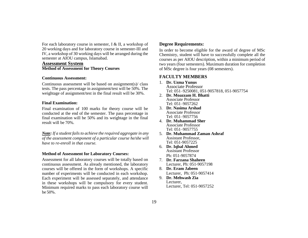For each laboratory course in semester, I & II, a workshop of 20 working days and for laboratory course in semester-III and IV, a workshop of 30 working days will be arranged during the semester at AIOU campus, Islamabad.

#### **Assessment System Method of Assessment for Theory Courses**

#### **Continuous Assessment:**

Continuous assessment will be based on assignment(s)/ class tests. The pass percentage in assignment/test will be 50%. The weightage of assignment/test in the final result will be 30%.

#### **Final Examination:**

Final examination of 100 marks for theory course will be conducted at the end of the semester. The pass percentage in final examination will be 50% and its weightage in the final result will be 70%.

*Note: If a student fails to achieve the required aggregate in any of the assessment component of a particular course he/she will have to re-enroll in that course.*

#### **Method of Assessment for Laboratory Courses:**

Assessment for all laboratory courses will be totally based on continuous assessment. As already mentioned, the laboratory courses will be offered in the form of workshops. A specific number of experiments will be conducted in each workshop. Each experiment will be assessed separately, and attendance in these workshops will be compulsory for every student. Minimum required marks to pass each laboratory course will be 50%.

### **Degree Requirements:**

In order to become eligible for the award of degree of MSc Chemistry, student will have to successfully complete all the courses as per AIOU description, within a minimum period of two years (four semesters). Maximum duration for completion of MSc degree is four years (08 semesters).

## **FACULTY MEMBERS**

- 1. **Dr. Uzma Yunus**  Associate Professor Tel: 051–9250081, 051-9057818, 051-9057754
- 2. **Dr. Moazzam H. Bhatti** Associate Professor Tel: 051–9057262
- 3. **Dr. Nasima Arshad**  Associate Professor Tel: 051–9057756
- 4. **Dr. Muhammad Sher**  Associate Professor Tel: 051–9057755
- 5. **Dr. Muhammad Zaman Ashraf** Assistant Professor, Tel: 051-9057225
- 6. **Dr. Iqbal Ahmed** Assistant Professor Ph: 051-9057874
- 7. **Dr. Farzana Shaheen** Lecturer, Ph: 051-9057198
- 8. **Dr. Eram Jabeen** Lecturer, Ph: 051-9057414
- 9. **Dr. Mehwash Zia** Lecturer, Lecturer, Tel: 051-9057252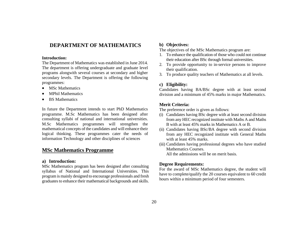## **DEPARTMENT OF MATHEMATICS**

#### **Introduction:**

The Department of Mathematics was established in June 2014. The department is offering undergraduate and graduate level programs alongwith several courses at secondary and higher secondary levels. The Department is offering the following programmes:

- MSc Mathematics
- MPhil Mathematics
- BS Mathematics

In future the Department intends to start PhD Mathematics programme. M.Sc Mathematics has been designed after consulting syllabi of national and international universities. M.Sc Mathematics programmes will strengthen the mathematical concepts of the candidates and will enhance their logical thinking. These programmes cater the needs of information Technology and other disciplines of sciences

## **MSc Mathematics Programme**

#### **a) Introduction:**

MSc Mathematics program has been designed after consulting syllabus of National and International Universities. This program is mainly designed to encourage professionals and fresh graduates to enhance their mathematical backgrounds and skills.

#### **b) Objectives:**

The objectives of the MSc Mathematics program are:

- 1. To enhance the qualification of those who could not continue their education after BSc through formal universities.
- 2. To provide opportunity to in-service persons to improve their qualification.
- 3. To produce quality teachers of Mathematics at all levels.

#### **c) Eligibility:**

Candidates having BA/BSc degree with at least second division and a minimum of 45% marks in major Mathematics.

#### **Merit Criteria:**

The preference order is given as follows:

- (i) Candidates having BSc degree with at least second division from any HEC recognized institute with Maths A and Maths B with at least 45% marks in Mathematics A or B.
- (ii) Candidates having BSc/BA degree with second division from any HEC recognized institute with General Maths with at least 45% marks.
- (iii) Candidates having professional degrees who have studied Mathematics Courses. All the admissions will be on merit basis.

#### **Degree Requirements:**

For the award of MSc Mathematics degree, the student will have to complete/qualify the 20 courses equivalent to 60 credit hours within a minimum period of four semesters.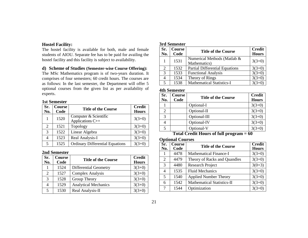## **Hostel Facility:**

The hostel facility is available for both, male and female students of AIOU. Separate fee has to be paid for availing the hostel facility and this facility is subject to availability.

#### **d) Scheme of Studies (Semester-wise Course Offering):**

The MSc Mathematics program is of two-years duration. It comprises of four semesters; 60 credit hours. The courses are as follows: In the last semester, the Department will offer 5 optional courses from the given list as per availability of experts.

#### **1st Semester**

| Sr.<br>No. | Course<br>Code | <b>Title of the Course</b>                | <b>Credit</b><br><b>Hours</b> |
|------------|----------------|-------------------------------------------|-------------------------------|
| 1          | 1520           | Computer & Scientific<br>Applications C++ | $3(3+0)$                      |
| 2          | 1521           | Topology                                  | $3(3+0)$                      |
| 3          | 1522           | Linear Algebra                            | $3(3+0)$                      |
| 4          | 1523           | Real Analysis-I                           | $3(3+0)$                      |
| 5          | 1525           | <b>Ordinary Differential Equations</b>    | $3(3+0)$                      |

#### **2nd Semester**

| Sr.<br>No.                  | <b>Course</b><br>Code | <b>Title of the Course</b>   | <b>Credit</b><br><b>Hours</b> |
|-----------------------------|-----------------------|------------------------------|-------------------------------|
|                             | 1524                  | <b>Differential Geometry</b> | $3(3+0)$                      |
| $\mathcal{D}_{\mathcal{L}}$ | 1527                  | <b>Complex Analysis</b>      | $3(3+0)$                      |
| 3                           | 1528                  | Group Theory                 | $3(3+0)$                      |
| 4                           | 1529                  | <b>Analytical Mechanics</b>  | $3(3+0)$                      |
| 5                           | 1530                  | Real Analysis-II             | $3(3+0)$                      |

#### **3rd Semester**

| Sr.<br>No.            | Course<br>Code | <b>Title of the Course</b>                  | <b>Credit</b><br><b>Hours</b> |
|-----------------------|----------------|---------------------------------------------|-------------------------------|
|                       | 1531           | Numerical Methods (Matlab &<br>Mathematics) | $3(3+0)$                      |
| $\mathcal{D}_{\cdot}$ | 1532           | <b>Partial Differential Equations</b>       | $3(3+0)$                      |
| 3                     | 1533           | <b>Functional Analysis</b>                  | $3(3+0)$                      |
|                       | 1534           | Theory of Rings                             | $3(3+0)$                      |
|                       | 1538           | <b>Mathematical Statistics-I</b>            | $3(3+0)$                      |

### **4th Semester**

| Sr.<br>No. | Course<br>Code | <b>Title of the Course</b> | <b>Credit</b><br><b>Hours</b> |
|------------|----------------|----------------------------|-------------------------------|
|            |                | Optional-I                 | $3(3+0)$                      |
| 2          |                | Optional-II                | $3(3+0)$                      |
| 3          |                | Optional-III               | $3(3+0)$                      |
|            |                | Optional-IV                | $3(3+0)$                      |
|            |                | Optional-V                 | $3(3+0)$                      |

**Total Credit Hours of full program = 60**

### **Optional Courses**

| Sr.<br>No. | Course<br>Code | <b>Title of the Course</b>        | <b>Credit</b><br><b>Hours</b> |
|------------|----------------|-----------------------------------|-------------------------------|
| 1          | 4478           | <b>Mathematical Finance-I</b>     | $3(3+0)$                      |
| 2          | 4479           | Theory of Racks and Quandles      | $3(3+0)$                      |
| 3          | 4480           | <b>Research Project</b>           | $3(0+3)$                      |
| 4          | 1535           | <b>Fluid Mechanics</b>            | $3(3+0)$                      |
| 5          | 1540           | <b>Applied Number Theory</b>      | $3(3+0)$                      |
| 6          | 1542           | <b>Mathematical Statistics-II</b> | $3(3+0)$                      |
|            | 1544           | Optimization                      | $3(3+0)$                      |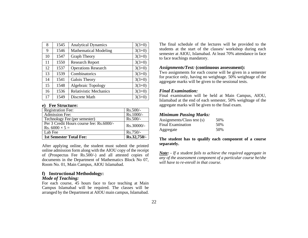| 8  | 1545 | <b>Analytical Dynamics</b>    | $3(3+0)$ |
|----|------|-------------------------------|----------|
| 9  | 1546 | <b>Mathematical Modeling</b>  | $3(3+0)$ |
| 10 | 1547 | <b>Graph Theory</b>           | $3(3+0)$ |
| 11 | 1550 | <b>Research Report</b>        | $3(3+0)$ |
| 12 | 1537 | <b>Operations Research</b>    | $3(3+0)$ |
| 13 | 1539 | Combinatorics                 | $3(3+0)$ |
| 14 | 1541 | Galois Theory                 | $3(3+0)$ |
| 15 | 1548 | Algebraic Topology            | $3(3+0)$ |
| 16 | 1536 | <b>Relativistic Mechanics</b> | $3(3+0)$ |
| 17 | 1549 | Discrete Math                 | $3(3+0)$ |

#### **e) Fee Structure:**

| <b>Registration Fee:</b>                 | $Rs.500/-$  |
|------------------------------------------|-------------|
| <b>Admission Fee:</b>                    | Rs.1000/-   |
| Technology Fee (per semester)            | $Rs.500/-$  |
| Per 3 Credit Hours course fee: Rs.6000/- | Rs.30000/-  |
| Rs. $6000 \times 5 =$                    |             |
| Lab Fee                                  | Rs.750/-    |
| <b>1st Semester Total Fee:</b>           | Rs.32,750/- |

After applying online, the student must submit the printed online admission form along with the AIOU copy of the receipt of (Prospectus Fee Rs.500/-) and all attested copies of documents in the Department of Mathematics Block No 07, Room No. 01, Main Campus, AIOU Islamabad.

## **f) Instructional Methodology:**

#### *Mode of Teaching:*

For each course, 45 hours face to face teaching at Main Campus Islamabad will be required. The classes will be arranged by the Department at AIOU main campus, Islamabad. The final schedule of the lectures will be provided to the students at the start of the classes/ workshop during each semester at AIOU, Islamabad. At least 70% attendance in face to face teachings mandatory.

#### *Assignments/Test:* **(continuous assessment):**

Two assignments for each course will be given in a semester for practice only, having no weightage. 50% weightage of the aggregate marks will be given to the sessional tests.

#### *Final Examination:*

Final examination will be held at Main Campus, AIOU, Islamabad at the end of each semester, 50% weightage of the aggregate marks will be given to the final exam.

#### *Minimum Passing Marks:*

| Assignments/Class test (s) | 50% |
|----------------------------|-----|
| Final Examination          | 50% |
| Aggregate                  | 50% |

#### **The student has to qualify each component of a course separately.**

*Note: - If a student fails to achieve the required aggregate in any of the assessment component of a particular course he/she will have to re-enroll in that course.*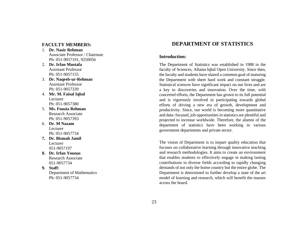## **FACULTY MEMBERS:**

- 1. **Dr. Nasir Rehman** Associate Professor / Chairman Ph: 051-9057191, 9250056
- 2. **Dr. Irfan Mustafa**  Assistant Professor Ph: 051-9057155
- 3. **Dr. Naqeeb-ur-Rehman** Assistant Professor Ph: 051-9057339
- 4. **Mr. M. Faisal Iqbal** Lecturer Ph: 051-9057380
- 5. **Ms. Fouzia Rehman** Research Associate Ph: 051-9057393
- 6. **Dr. M Nazam**  Lecturer Ph: 051-9057734
- **7. Dr. Bismah Jamil** Lecturer 051-9057197
- **8. Dr. Irfan Younas** Research Associate 051-9057734
- **9. Staff:** Department of Mathematics Ph: 051-9057734

## **DEPARTMENT OF STATISTICS**

#### **Introduction:**

The Department of Statistics was established in 1988 in the faculty of Sciences, Allama Iqbal Open University. Since then, the faculty and students have shared a common goal of maturing the Department with sheer hard work and constant struggle. Statistical sciences have significant impact on our lives and are a key to discoveries and innovation. Over the time, with concerted efforts, the Department has grown to its full potential and is vigorously involved in participating towards global efforts of driving a new era of growth, development and productivity. Since, our world is becoming more quantitative and data- focused, job opportunities in statistics are plentiful and projected to increase worldwide. Therefore, the alumni of the department of statistics have been working in various government departments and private sector.

The vision of Department is to impart quality education that focuses on collaborative learning through innovative teaching and research methodologies. It aims to create an environment that enables students to effectively engage in making lasting contributions in diverse fields according to rapidly changing demands of not only the home country but the entire globe. The Department is determined to further develop a state of the art model of learning and research, which will benefit the masses across the board.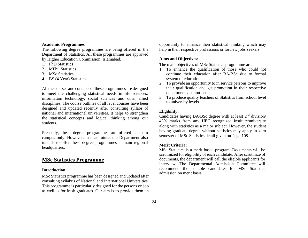#### **Academic Programmes**

The following degree programmes are being offered in the Department of Statistics. All these programmes are approved by Higher Education Commission, Islamabad.

- 1. PhD Statistics
- 2. MPhil Statistics
- 3. MSc Statistics
- 4. BS (4 Year) Statistics

All the courses and contents of these programmes are designed to meet the challenging statistical needs in life sciences, information technology, social sciences and other allied disciplines. The course outlines of all level courses have been designed and updated recently after consulting syllabi of national and international universities. It helps to strengthen the statistical concepts and logical thinking among our students.

Presently, these degree programmes are offered at main campus only. However, in near future, the Department also intends to offer these degree programmes at main regional headquarters.

## **MSc Statistics Programme**

#### **Introduction:**

MSc Statistics programme has been designed and updated after consulting syllabus of National and International Universities. This programme is particularly designed for the persons on job as well as for fresh graduates. Our aim is to provide them an opportunity to enhance their statistical thinking which may help in their respective professions or for new jobs seekers.

#### **Aims and Objectives:**

The main objectives of MSc Statistics programme are:

- 1. To enhance the qualification of those who could not continue their education after BA/BSc due to formal system of education.
- 2. To provide an opportunity to in service persons to improve their qualification and get promotion in their respective departments/institutions.
- 3. To produce quality teachers of Statistics from school level to university levels.

#### **Eligibility:**

Candidates having BA/BSc degree with at least  $2<sup>nd</sup>$  division/ 45% marks from any HEC recognized institute/university along with statistics as a major subject. However, the student having graduate degree without statistics may apply in zero semester of MSc Statistics detail given on Page 108.

#### **Merit Criteria:**

MSc Statistics is a merit based program. Documents will be scrutinized for eligibility of each candidate. After scrutinize of documents, the department will call the eligible applicants for interview. The Departmental Admission Committee will recommend the suitable candidates for MSc Statistics admission on merit basis.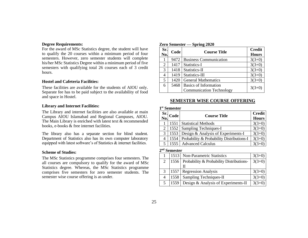## **Degree Requirements:**

For the award of MSc Statistics degree, the student will have to qualify the 20 courses within a minimum period of four semesters. However, zero semester students will complete his/her MSc Statistics Degree within a minimum period of five semesters with qualifying total 26 courses each of 3 credit hours.

#### **Hostel and Cafeteria Facilities:**

These facilities are available for the students of AIOU only. Separate fee has to be paid subject to the availability of food and space in Hostel.

#### **Library and Internet Facilities:**

The Library and internet facilities are also available at main Campus AIOU Islamabad and Regional Campuses, AIOU. The Main Library is enriched with latest text & recommended books, e-books & free internet facilities.

The library also has a separate section for blind student. Department of Statistics also has its own computer laboratory equipped with latest software's of Statistics & internet facilities.

#### **Scheme of Studies:**

The MSc Statistics programme comprises four semesters. The all courses are compulsory to qualify for the award of MSc Statistics degree. Whereas, the MSc Statistics programme comprises five semesters for zero semester students. The semester wise course offering is as under.

**Zero Semester — Spring 2020**

| Sr.<br>No. | Code | <b>Course Title</b>             | <b>Credit</b><br><b>Hours</b> |
|------------|------|---------------------------------|-------------------------------|
| 1          | 9472 | <b>Business Communication</b>   | $3(3+0)$                      |
| 2          | 1417 | Statistics-I                    | $3(3+0)$                      |
| 3          | 1418 | Statistics-II                   | $3(3+0)$                      |
| 4          | 1419 | Statistics-III                  | $3(3+0)$                      |
| 5          | 1420 | <b>General Mathematics</b>      | $3(3+0)$                      |
| 6          | 5468 | Basics of Information           | $3(3+0)$                      |
|            |      | <b>Communication Technology</b> |                               |

#### **SEMESTER WISE COURSE OFFERING**

#### **1 st Semester**

|                | $\frac{\text{Sr}}{\text{No}}$ Code | <b>Course Title</b>                       | <b>Credit</b><br><b>Hours</b> |
|----------------|------------------------------------|-------------------------------------------|-------------------------------|
|                | 1551                               | <b>Statistical Methods</b>                | $3(3+0)$                      |
| $\overline{2}$ | 1552                               | <b>Sampling Techniques-I</b>              | $3(3+0)$                      |
| 3              | 1553                               | Design & Analysis of Experiments-I        | $3(3+0)$                      |
| 4              | 1554                               | Probability & Probability Distributions-I | $3(3+0)$                      |
| 5 <sup>1</sup> |                                    | 1555   Advanced Calculus                  |                               |

#### **2 nd Semester**

|                | 1513 Non-Parametric Statistics                  | $3(3+0)$ |
|----------------|-------------------------------------------------|----------|
|                | 1556   Probability & Probability Distributions- | $3(3+0)$ |
|                | Н                                               |          |
| 3              | 1557   Regression Analysis                      | $3(3+0)$ |
|                | 1558   Sampling Techniques-II                   | $3(3+0)$ |
| 5 <sup>5</sup> | [1559] Design & Analysis of Experiments-II      | $3(3+0)$ |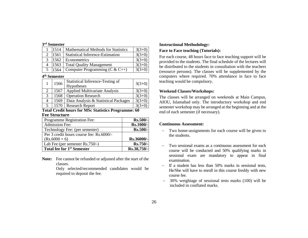#### **3 rd Semester**

|  | 1514 | <b>Mathematical Methods for Statistics</b> | $3(3+0)$ |
|--|------|--------------------------------------------|----------|
|  | 1561 | <b>Statistical Inference-Estimation</b>    | $3(3+0)$ |
|  | 1562 | <b>Econometrics</b>                        | $3(3+0)$ |
|  | 1563 | <b>Total Quality Management</b>            | $3(3+0)$ |
|  | 1564 | Computer Programming ( $C & C++)$          | $3(3+0)$ |

#### **4 th Semester**

|   | 1566 | Statistical Inference-Testing of<br><b>Hypotheses</b> | $3(3+0)$ |
|---|------|-------------------------------------------------------|----------|
|   | 1567 | <b>Applied Multivariate Analysis</b>                  | $3(3+0)$ |
| 3 | 1568 | <b>Operation Research</b>                             | $3(3+0)$ |
| 4 | 1569 | Data Analysis & Statistical Packages                  | $3(3+0)$ |
|   | 1570 | <b>Research Report</b>                                | $3(3+0)$ |

#### **Total Credit hours for MSc Statistics Programme: 60 Fee Structure**

| Programme Registration Fee:              | <b>Rs.500/-</b> |
|------------------------------------------|-----------------|
| <b>Admission Fee:</b>                    | Rs.1000/-       |
| Technology Fee: (per semester)           | Rs.500/-        |
| Per 3 credit hours course fee: Rs.6000/- |                 |
| $(Rs.6000 \times 6)$                     | Rs.36000/-      |
| Lab Fee (per semester Rs.750/-)          | Rs.750/-        |
| Total fee for 1 <sup>st</sup> Semester   | Rs.38,750/-     |

**Note:** Fee cannot be refunded or adjusted after the start of the classes.

> Only selected/recommended candidates would be required to deposit the fee.

#### **Instructional Methodology:**

#### **Face to Face teaching (Tutorials):**

For each course, 48 hours face to face teaching support will be provided to the students. The final schedule of the lectures will be distributed to the students in consultation with the teachers (resource persons). The classes will be supplemented by the computers where required. 70% attendance in face to face teaching would be compulsory.

#### **Weekend Classes/Workshops:**

The classes will be arranged on weekends at Main Campus, AIOU, Islamabad only. The introductory workshop and end semester workshop may be arranged at the beginning and at the end of each semester (if necessary).

#### **Continuous Assessment:**

- − Two home-assignments for each course will be given to the students.
- − Two sessional exams as a continuous assessment for each course will be conducted and 50% qualifying marks in sessional exam are mandatory to appear in final examination.
- If a student has less than 50% marks in sessional tests, He/She will have to enroll in this course freshly with new course fee.
- − 30% weightage of sessional tests marks (100) will be included in conflated marks.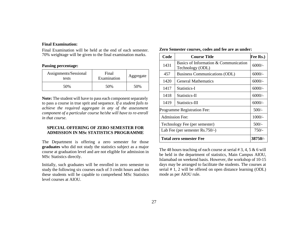#### **Final Examination:**

Final Examination will be held at the end of each semester. 70% weightage will be given to the final examination marks.

#### **Passing percentage:**

| Assignments/Sessional<br>tests | Final<br>Examination | Aggregate |
|--------------------------------|----------------------|-----------|
| 50%                            | 50%                  | 50%       |

**Note:** The student will have to pass each component separately to pass a course in true sprit and sequence. *If a student fails to achieve the required aggregate in any of the assessment component of a particular course he/she will have to re-enroll in that course.*

#### **SPECIAL OFFERING OF ZERO SEMESTER FOR ADMISSION IN MSc STATISTICS PROGRAMME**

The Department is offering a zero semester for those **graduates** who did not study the statistics subject as a major course at graduation level and are not eligible for admission in MSc Statistics directly.

Initially, such graduates will be enrolled in zero semester to study the following six courses each of 3 credit hours and then these students will be capable to comprehend MSc Statistics level courses at AIOU.

| Zero Semester courses, codes and fee are as under: |
|----------------------------------------------------|
|----------------------------------------------------|

| Code                                                              | Fee Rs.) |          |
|-------------------------------------------------------------------|----------|----------|
| Basics of Information & Communication<br>1431<br>Technology (ODL) |          | $6000/-$ |
| 457                                                               | $6000/-$ |          |
| 1420<br>General Mathematics                                       |          | $6000/-$ |
| 1417<br>Statistics-I                                              |          | $6000/-$ |
| 1418<br>Statistics-II                                             |          | $6000/-$ |
| 1419                                                              | $6000/-$ |          |
| <b>Programme Registration Fee:</b>                                | $500/-$  |          |
| <b>Admission Fee:</b>                                             | $1000/-$ |          |
| Technology Fee (per semester)                                     | $500/-$  |          |
| Lab Fee (per semester $Rs.750/-$ )                                | $750/-$  |          |
| Total zero semester Fee                                           | 38750/-  |          |

The 48 hours teaching of each course at serial # 3, 4, 5 & 6 will be held in the department of statistics, Main Campus AIOU, Islamabad on weekend basis. However, the workshop of 10-15 days may be arranged to facilitate the students. The courses at serial # 1, 2 will be offered on open distance learning (ODL) mode as per AIOU rule.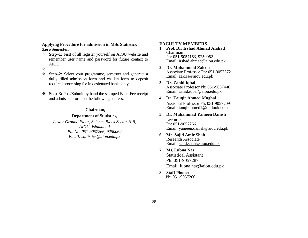#### **Applying Procedure for admission in MSc Statistics/ Zero Semester:**

- ❖ **Step–1:** First of all register yourself on AIOU website and remember user name and password for future contact to AIOU.
- ❖
- ❖ **Step–2:** Select your programme, semester and generate a dully filled admission form and challan form to deposit required processing fee in designated banks only.
- ❖ **Step–3:** Post/Submit by hand the stamped Bank Fee receipt and admission form on the following address.

#### **Chairman,**

#### **Department of Statistics,**

*Lower Ground Floor, Science Block Sector H-8, AIOU, Islamabad Ph. No. 051-9057266, 9250062 Email: [statistics@aiou.edu.pk](mailto:statistics@aiou.edu.pk)*

#### **FACULTY MEMBERS**

- **1. Prof. Dr. Irshad Ahmad Arshad** Chairman Ph: 051-9057163, 9250062 Email: [irshad.ahmad@aiou.edu.pk](mailto:irshad.ahmad@aiou.edu.pk)
- **2. Dr. Muhammad Zakria** Associate Professor Ph: 051-9057372 Email: [zakria@aiou.edu.pk](mailto:zakria@aiou.edu.pk)
- **3. Dr. Zahid Iqbal**  Associate Professor Ph: 051-9057446 Email: [zahid.iqbal@aiou.edu.pk](mailto:zahid.iqbal@aiou.edu.pk)
- **4. Dr. Tauqir Ahmed Mughal** Assistant Professor Ph: 051-9057209

Email: [tauqirahmed1@outlook.com](mailto:tauqirahmed1@outlook.com)

**5. Dr. Muhammad Yameen Danish**

Lecturer Ph: 051-9057266 Email: [yameen.danish@aiou.edu.pk](mailto:yameen.danish@aiou.edu.pk)

- **6. Mr. Sajid Amir Shah** Research Associate Email: [sajid.shah@aiou.edu.pk](mailto:sajid.shah@aiou.edu.pk)
- **7. Ms. Lubna Naz** Statistical Assistant

Ph: 051-9057287 Email: lubna.naz@aiou.edu.pk

**8. Staff Phone:** Ph: 051-9057266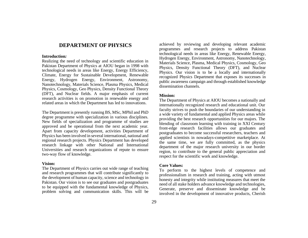## **DEPARTMENT OF PHYSICS**

#### **Introduction***:*

Realizing the need of technology and scientific education in Pakistan Department of Physics at AIOU began in 1998 with technological needs in areas like Energy, Energy Efficiency, Climate, Energy for Sustainable Development, Renewable Energy, Hydrogen Energy, Environment, Astronomy, Nanotechnology, Materials Science, Plasma Physics, Medical Physics, Cosmology, Geo Physics, Density Functional Theory (DFT), and Nuclear fields. A major emphasis of current research activities is on promotion in renewable energy and related areas in which the Department has led to innovations.

The Department is presently running BS, MSc, MPhil and PhD degree programme with specialization in various disciplines. New fields of specialization and programme of studies are approved and be operational from the next academic year. Apart from capacity development, activities Department of Physics has been involved in several international, national and regional research projects. Physics Department has developed research linkage with other National and International Universities and research organizations of repute to ensure two-way flow of knowledge.

#### **Vision:**

The Department of Physics carries out wide range of teaching and research programmes that will contribute significantly to the development of human capacity, science and technology in Pakistan. Our vision is to see our graduates and postgraduates to be equipped with the fundamental knowledge of Physics, problem solving and communication skills. This will be

achieved by reviewing and developing relevant academic programmes and research projects to address Pakistan technological needs in areas like Energy, Renewable Energy, Hydrogen Energy, Environment, Astronomy, Nanotechnology, Materials Science, Plasma, Medical Physics, Cosmology, Geo Physics, Density Functional Theory (DFT), and Nuclear Physics. Our vision is to be a locally and internationally recognized Physics Department that exposes its successes in public awareness campaign and through established knowledge dissemination channels.

#### **Mission:**

The Department of Physics at AIOU becomes a nationally and internationally recognized research and educational unit. Our faculty strives to push the boundaries of our understanding in a wide variety of fundamental and applied Physics areas while providing the best research opportunities for our majors. The blending of classroom learning with training in XXI Century front-edge research facilities allows our graduates and postgraduates to become successful researchers, teachers and applied scientists in nowadays-competitive marketplace. At the same time, we are fully committed, as the physics department of the major research university in our border region, to contribute to the general public appreciation and respect for the scientific work and knowledge.

#### **Core Values:**

To perform to the highest levels of competence and professionalism in research and training, acting with utmost honesty and integrity while instituting measures that meet the need of all stake holders advance knowledge and technologies, Generate, preserve and disseminate knowledge and be involved in the development of innovative products, Cherish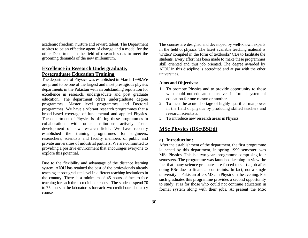academic freedom, nurture and reward talent. The Department aspires to be an effective agent of change and a model for the other Department in the field of research so as to meet the grooming demands of the new millennium.

## **Excellence in Research Undergraduate, Postgraduate Education Training**

The department of Physics was established in March 1998.We are proud to be one of the largest and most prestigious physics departments in the Pakistan with an outstanding reputation for excellence in research, undergraduate and post graduate education. The department offers undergraduate degree programmes, Master level programmes and Doctoral programmes. We have a vibrant research programmes that a broad-based coverage of fundamental and applied Physics. The department of Physics is offering these programmes in collaborations with other institutions actively foster development of new research fields. We have recently established the training programmes for engineers, researchers, scientists and faculty members of public and private universities of industrial partners. We are committed to providing a positive environment that encourages everyone to explore this potential.

Due to the flexibility and advantage of the distance learning system, AIOU has retained the best of the professionals already teaching at post graduate level in different teaching institutions in the country. There is a minimum of 45 hours of face-to-face teaching for each three credit hour course. The students spend 70 to 75 hours in the laboratories for each two credit hour laboratory course.

The courses are designed and developed by well-known experts in the field of physics. The latest available teaching material is written/ compiled in the form of textbooks/ CDs to facilitate the students. Every effort has been made to make these programmes skill oriented and thus job oriented. The degree awarded by AIOU in this discipline is accredited and at par with the other universities.

#### **Aims and Objectives:**

- 1. To promote Physics and to provide opportunity to those who could not educate themselves in formal system of education for one reason or another.
- 2. To meet the acute shortage of highly qualified manpower in the field of physics by producing skilled teachers and research scientists.
- 3. To introduce new research areas inPhysics.

# **MSc Physics (BSc/BSEd)**

## **a) Introduction:**

After the establishment of the department, the first programme launched by this department, in spring 1999 semester, was MSc Physics. This is a two years programme comprising four semesters. The programme was launched keeping in view the fact that many science graduates are forced to start a job after doing BSc due to financial constraints. In fact, not a single university in Pakistan offers MSc in Physics in the evening. For such graduates this programme provides a second opportunity to study. It is for those who could not continue education in formal system along with their jobs. At present the MSc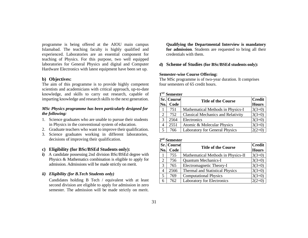programme is being offered at the AIOU main campus Islamabad. The teaching faculty is highly qualified and experienced. Laboratories are an essential component for teaching of Physics. For this purpose, two well equipped laboratories for General Physics and digital and Computer Hardware Electronics with latest equipment have been set up.

#### **b) Objectives:**

The aim of this programme is to provide highly competent scientists and academicians with critical approach, up-to-date knowledge, and skills to carry out research, capable of imparting knowledge and research skills to the next generation.

#### *MSc Physics programme has been particularly designed for the following:*

- 1. Science graduates who are unable to pursue their students in Physics in the conventional system of education.
- 2. Graduate teachers who want to improve their qualification.
- 3. Science graduates working in different laboratories, decisions of improving their qualification.

#### **c) Eligibility (for BSc/BSEd Students only):**

**i)** A candidate possessing 2nd division BSc/BSEd degree with Physics & Mathematics combination is eligible to apply for admission. Admissions will be made strictly on merit.

#### *ii) Eligibility (for B.Tech Students only)*

Candidates holding B Tech / equivalent with at least second division are eligible to apply for admission in zero semester. The admission will be made strictly on merit. **Qualifying the Departmental Interview is mandatory for admission**. Students are requested to bring all their credentials with them.

#### **d) Scheme of Studies (for BSc/BSEd students only):**

#### **Semester-wise Course Offering:**

The MSc programme is of two-year duration. It comprises four semesters of 65 credit hours.

#### **1 ST Semester**

|     | <b>Sr.</b> Course | <b>Title of the Course</b>                | <b>Credit</b> |
|-----|-------------------|-------------------------------------------|---------------|
| No. | Code              |                                           | <b>Hours</b>  |
|     | 751               | Mathematical Methods in Physics-I         | $3(3+0)$      |
| 2   | 752               | <b>Classical Mechanics and Relativity</b> | $3(3+0)$      |
| 3   | 2564              | Electronics                               | $3(3+0)$      |
|     | 2551              | Atomic & Molecular Physics                | $3(3+0)$      |
| 5   | 766               | Laboratory for General Physics            | $2(2+0)$      |

#### **2 nd Semester**

| No. | Sr. Course<br>Code | <b>Title of the Course</b>             | <b>Credit</b><br><b>Hours</b> |
|-----|--------------------|----------------------------------------|-------------------------------|
|     | 755                | Mathematical Methods in Physics-II     | $3(3+0)$                      |
| 2   | 756                | <b>Quantum Mechanics-I</b>             | $3(3+0)$                      |
| 3   | 765                | Electromagnetic Theory-I               | $3(3+0)$                      |
| 4   | 2566               | <b>Thermal and Statistical Physics</b> | $3(3+0)$                      |
| 5   | 769                | <b>Computational Physics</b>           | $3(3+0)$                      |
|     | 762                | <b>Laboratory for Electronics</b>      | $2(2+0)$                      |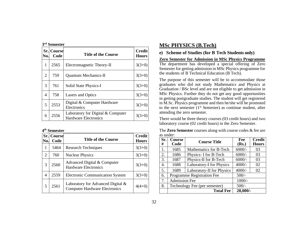|     | 3 <sup>rd</sup> Semester  |                                                                  |                               |  |
|-----|---------------------------|------------------------------------------------------------------|-------------------------------|--|
| No. | <b>Sr. Course</b><br>Code | <b>Title of the Course</b>                                       | <b>Credit</b><br><b>Hours</b> |  |
| 1   | 2565                      | Electromagnetic Theory-II                                        | $3(3+0)$                      |  |
| 2   | 759                       | <b>Quantum Mechanics-II</b>                                      | $3(3+0)$                      |  |
| 3   | 761                       | Solid State Physics-I                                            | $3(3+0)$                      |  |
| 4   | 758                       | <b>Lasers and Optics</b>                                         | $3(3+0)$                      |  |
| 5   | 2553                      | Digital & Computer Hardware<br>Electronics                       | $3(3+0)$                      |  |
| 6   | 2556                      | Laboratory for Digital & Computer<br><b>Hardware Electronics</b> | $3(3+0)$                      |  |

#### **4 th Semester**

| No.            | <b>Sr.</b> Course<br>Code | <b>Title of the Course</b>                                                   | <b>Credit</b><br><b>Hours</b> |
|----------------|---------------------------|------------------------------------------------------------------------------|-------------------------------|
| 1              | 5464                      | <b>Research Techniques</b>                                                   | $3(3+0)$                      |
| 2              | 760                       | <b>Nuclear Physics</b>                                                       | $3(3+0)$                      |
| 3              | 2560                      | Advanced Digital & Computer<br><b>Hardware Electronics</b>                   | $3(3+0)$                      |
| $\overline{4}$ | 2559                      | <b>Electronic Communication System</b>                                       | $3(3+0)$                      |
| .5             | 2561                      | Laboratory for Advanced Digital $\&$<br><b>Computer Hardware Electronics</b> | $4(4+0)$                      |

## **MSc PHYSICS (B.Tech)**

#### **e) Scheme of Studies (for B Tech Students only)**

**Zero Semester for Admission in MSc Physics Programme** The department has developed a special offering of Zero Semester for getting admission in MSc Physics programme for the students of B Technical Education (B Tech).

The purpose of this semester will be to accommodate those graduates who did not study Mathematics and Physics at Graduation / BSc level and are not eligible to get admission in MSc Physics. Further they do not get any good opportunities in getting postgraduate studies. The student will get registered in M.Sc. Physics programme and then he/she will be promoted to the next semester (1<sup>st</sup> Semester) as continue student, after attending the zero semester.

There would be three theory courses (03 credit hours) and two laboratory course (02 credit hours) in the Zero Semester.

The **Zero Semester** courses along with course codes & fee are as under:

| Sr.<br># | Course<br><b>Course Title</b><br>Code |                            | Fee<br>(Rs.) | <b>Credit</b><br><b>Hours</b> |
|----------|---------------------------------------|----------------------------|--------------|-------------------------------|
| 1.       | 1685                                  | Mathematics for B-Tech     | $6000/-$     | 03                            |
| 2.       | 1686                                  | Physics-I for B-Tech       | $6000/-$     | 03                            |
| 3.       | 1687                                  | Physics-II for B-Tech      | $6000/-$     | 03                            |
| 4.       | 1688                                  | Laboratory-I for Physics   | $4000/-$     | 02                            |
| 5.       | 1689                                  | Laboratory-II for Physics  | $4000/-$     | 02                            |
| 6.       |                                       | Programme Registration Fee | $500/-$      |                               |
| 7.       | <b>Admission Fee</b>                  |                            | $1000/-$     |                               |
| 8.       | Technology Fee (per semester)         |                            | $500/-$      |                               |
|          |                                       | <b>Total Fee</b>           | 28,000/-     |                               |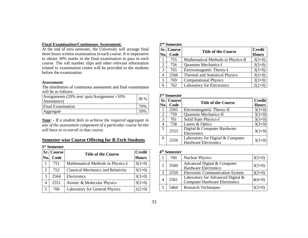#### **Final Examination/Continuous Assessment:**

At the end of zero semester, the University will arrange final three hours written examination in each course. It is imperative to obtain 50% marks in the final examination to pass in each course. The roll number slips and other relevant information related to examination centre will be provided to the students before the examination.

#### *Assessment:*

The distribution of continuous assessment and final examination will be as follows:

| Assignments $(20\% \text{ test}/\text{quiz/Assignment} +10\%)$<br>Attendance) | 130% |
|-------------------------------------------------------------------------------|------|
| <b>Final Examination</b>                                                      | 70%  |
| Aggregate                                                                     | 50%  |

*Note: - If a student fails to achieve the required aggregate in any of the assessment component of a particular course he/she will have to re-enroll in that course.*

#### **Semester-wise Course Offering for B.Tech Students**

|     | 1 <sup>st</sup> Semester |                                           |               |
|-----|--------------------------|-------------------------------------------|---------------|
|     | Sr. Course               | <b>Title of the Course</b>                | <b>Credit</b> |
| No. | Code                     |                                           | <b>Hours</b>  |
| 1   | 751                      | Mathematical Methods in Physics-I         | $3(3+0)$      |
| 2   | 752                      | <b>Classical Mechanics and Relativity</b> | $3(3+0)$      |
| 3   | 2564                     | Electronics                               | $3(3+0)$      |
| 4   | 2551                     | Atomic & Molecular Physics                | $3(3+0)$      |
| 5   | 766                      | <b>Laboratory for General Physics</b>     | $2(2+0)$      |

| $2nd$ Semester |
|----------------|
|                |

|     | Sr. Course | <b>Title of the Course</b>         | <b>Credit</b> |
|-----|------------|------------------------------------|---------------|
| No. | Code       |                                    | <b>Hours</b>  |
|     | 755        | Mathematical Methods in Physics-II | $3(3+0)$      |
| 2   | 756        | <b>Quantum Mechanics-I</b>         | $3(3+0)$      |
| 3   | 765        | Electromagnetic Theory-I           | $3(3+0)$      |
| 4   | 2566       | Thermal and Statistical Physics    | $3(3+0)$      |
| 5   | 769        | <b>Computational Physics</b>       | $3(3+0)$      |
| 6   | 762        | <b>Laboratory for Electronics</b>  | $2(2+0)$      |

#### **3 rd Semester**

| No. | <b>Sr.</b> Course<br>Code | <b>Title of the Course</b>                                       | <b>Credit</b><br><b>Hours</b> |
|-----|---------------------------|------------------------------------------------------------------|-------------------------------|
| 1   | 2565                      | Electromagnetic Theory-II                                        | $3(3+0)$                      |
| 2   | 759                       | <b>Quantum Mechanics-II</b>                                      | $3(3+0)$                      |
| 3   | 761                       | Solid State Physics-I                                            | $3(3+0)$                      |
| 4   | 758                       | Lasers & Optics                                                  | $3(3+0)$                      |
| 5   | 2553                      | Digital & Computer Hardware<br>Electronics                       | $3(3+0)$                      |
| 6   | 2556                      | Laboratory for Digital & Computer<br><b>Hardware Electronics</b> | $3(3+0)$                      |

#### **4 th Semester**

|   | 760  | <b>Nuclear Physics</b>                                                    | $3(3+0)$ |
|---|------|---------------------------------------------------------------------------|----------|
|   | 2560 | Advanced Digital & Computer<br><b>Hardware Electronics</b>                | $3(3+0)$ |
| 3 | 2559 | <b>Electronic Communication System</b>                                    | $3(3+0)$ |
|   | 2561 | Laboratory for Advanced Digital &<br><b>Computer Hardware Electronics</b> | $4(4+0)$ |
|   | 5464 | <b>Research Techniques</b>                                                | $3(3+0)$ |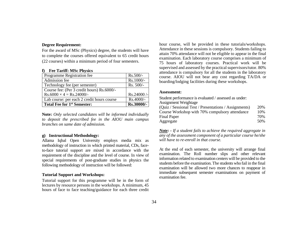#### **Degree Requirement:**

For the award of MSc (Physics) degree, the students will have to complete the courses offered equivalent to 65 credit hours (22 courses) within a minimum period of four semesters.

#### **f) Fee Tariff: MSc Physics**

| Programme Registration fee                 | $Rs.500/-$ |
|--------------------------------------------|------------|
| Admission fee                              | Rs.1000/-  |
| Technology fee (per semester)              | Rs. 500/-  |
| Course fee: (Per 3 credit hours) Rs.6000/- |            |
| $Rs.6000 \times 4 = Rs.24000/$ -           | Rs.24000/- |
| Lab course: per each 2 credit hours course | Rs.4000/-  |
| <b>Total Fee for 1st Semester:</b>         | Rs.30000/- |

**Note:** *Only selected candidates will be informed individually to deposit the prescribed fee in the AIOU main campus branches on same date of admission.*

#### **g) Instructional Methodology:**

Allama Iqbal Open University employs media mix as methodology of instruction in which printed material, CDs, faceto-face tutorial support are mixed in accordance with the requirement of the discipline and the level of course. In view of special requirements of post-graduate studies in physics the following methodology of instruction will be followed:

#### **Tutorial Support and Workshops:**

Tutorial support for this programme will be in the form of lectures by resource persons in the workshops. A minimum, 45 hours of face to face teaching/guidance for each three credit hour course, will be provided in these tutorials/workshops. Attendance in these sessions is compulsory. Students failing to attain 70% attendance will not be eligible to appear in the final examination. Each laboratory course comprises a minimum of 75 hours of laboratory courses. Practical work will be supervised and assessed by the practical supervisors/tutor. 80% attendance is compulsory for all the students in the laboratory course. AIOU will not bear any cost regarding TA/DA or boarding/lodging facilities during these workshops.

#### **Assessment:**

Student performance is evaluated / assessed as under: Assignment Weightage (Quiz / Sessional Test / Presentations / Assignments) 20% Course Workshop with 70% compulsory attendance 10% Final Paper 70% Aggregate 50%

*Note: - If a student fails to achieve the required aggregate in any of the assessment component of a particular course he/she will have to re-enroll in that course.*

At the end of each semester, the university will arrange final examination. The Roll number slips and other relevant information related to examination centers will be provided to the students before the examination. The students who fail in the final examination will be allowed two more chances to reappear in immediate subsequent semester examinations on payment of examination fee.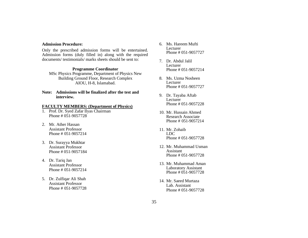#### **Admission Procedure:**

Only the prescribed admission forms will be entertained. Admission forms (duly filled in) along with the required documents/ testimonials/ marks sheets should be sent to:

#### **Programme Coordinator**

MSc Physics Programme, Department of Physics New Building Ground Floor, Research Complex AIOU, H-8, Islamabad.

**Note: Admissions will be finalized after the test and interview.**

#### **FACULTY MEMBERS: (Department of Physics)**

- 1. Prof. Dr. Syed Zafar Ilyas Chairman Phone # 051-9057728
- 2. Mr. Ather Hassan Assistant Professor Phone # 051-9057214
- 3. Dr. Surayya Mukhtar Assistant Professor Phone # 051-9057184
- 4. Dr. Tariq Jan Assistant Professor Phone # 051-9057214
- 5. Dr. Zulfiqar Ali Shah Assistant Professor Phone # 051-9057728
- 6. Ms. Hareem Mufti Lecturer Phone # 051-9057727
- 7. Dr. Abdul Jalil Lecturer Phone # 051-9057214
- 8. Ms. Uzma Nosheen Lecturer Phone # 051-9057727
- 9. Dr. Tayaba Aftab **Lecturer** Phone # 051-9057228
- 10. Mr. Hussain Ahmed Research Associate Phone # 051-9057214
- 11. Mr. Zohaib LDC Phone # 051-9057728
- 12. Mr. Muhammad Usman Assistant Phone # 051-9057728
- 13. Mr. Muhammad Aman Laboratory Assistant Phone # 051-9057728
- 14. Mr. Saeed Murtaza Lab. Assistant Phone # 051-9057728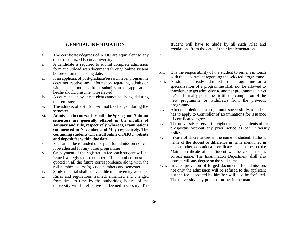#### **GENERAL INFORMATION**

- i. The certificates/degrees of AIOU are equivalent to any other recognized Board/University.
- ii. A candidate is required to submit complete admission form and upload scan documents through online system before or on the closing date.
- iii. If an applicant of post-graduate/research level programme does not receive any information regarding admission within three months from submission of application, he/she should presume non-selected.
- iv. A course taken by any student cannot be changed during the semester.
- **v.** The address of a student will not be changed during the semester.
- **vi. Admission to courses for both the Spring and Autumn semesters are generally offered in the months of January and July, respectively, whereas, examinations commenced in November and May respectively. The continuing students will enroll online on AIOU website and deposit fee within due date.**
- vii. Fee cannot be refunded once paid for admission nor can it be adjusted for any other programme
- viii. On payment of the registration fee, each student will be issued a registration number. This number must be quoted in all the future correspondence along with the roll number, course(s), code numbers and semester.
- ix. Study material shall be available on university website.
- x. Rules and regulations framed, enhanced and changed from time to time by the authorities, bodies of the university will be effective as deemed necessary. The

student will have to abide by all such rules and regulations from the date of their implementation.

 $x$ i.

university.

- xii. It is the responsibility of the student to remain in touch with the department regarding the selected programme.
- xiii. A student already admitted to a programme or a specialization of a programme shall not be allowed to transfer or to get admission to another programme unless he/she formally postpones it till the completion of the new programme or withdraws from the previous programme.
- xiv. After completion of a programme successfully, a student has to apply to Controller of Examinations for issuance of certificate/degree.
- xv. The university reserves the right to change contents of this prospectus without any prior notice as per university policy.
- xvi. In case of discrepancies in the name of student/ Father's name of the student or difference in name mentioned in his/her other educational certificates, the name on the Matric certificate of the student will be considered as correct name. The Examination Department shall also issue certificate/ degree on the said name.
- xvii. In case provision of forged documents for admission, not only the admission will be refused to the applicant but the fee deposited by him/her will also be forfeited. The university may proceed further in the matter.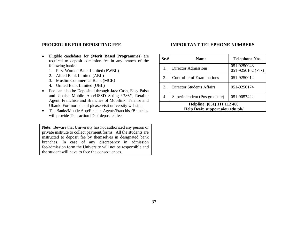#### **PROCEDURE FOR DEPOSITING FEE**

## **IMPORTANT TELEPHONE NUMBERS**

- Eligible candidates for (**Merit Based Programmes**) are required to deposit admission fee in any branch of the following banks:
	- 1. First Women Bank Limited (FWBL)
	- 2. Allied Bank Limited (ABL)
	- 3. Muslim Commercial Bank (MCB)
	- 4. United Bank Limited (UBL)
- Fee can also be Deposited through Jazz Cash, Easy Paisa and Upaisa Mobile App/USSD String \*786#, Retailer Agent, Franchise and Branches of Mobilink, Telenor and Ubank. For more detail please visit university website.
- The Banks/Mobile App/Retailer Agents/Franchise/Branches will provide Transaction ID of deposited fee.

**Note:** Beware that University has not authorized any person or private institute to collect payment/forms. All the students are instructed to deposit fee by themselves in designated bank branches. In case of any discrepancy in admission fee/admission form the University will not be responsible and the student will have to face the consequences.

| Sr.#                                                           | <b>Name</b>                      | <b>Telephone Nos.</b>            |  |
|----------------------------------------------------------------|----------------------------------|----------------------------------|--|
| 1.                                                             | <b>Director Admissions</b>       | 051-9250043<br>051-9250162 (Fax) |  |
| 2.                                                             | Controller of Examinations       | 051-9250012                      |  |
| 3.                                                             | <b>Director Students Affairs</b> | 051-9250174                      |  |
| 4.                                                             | Superintendent (Postgraduate)    | 051-9057422                      |  |
| Helpline: (051) 111 112 468<br>Help Desk: support.aiou.edu.pk/ |                                  |                                  |  |